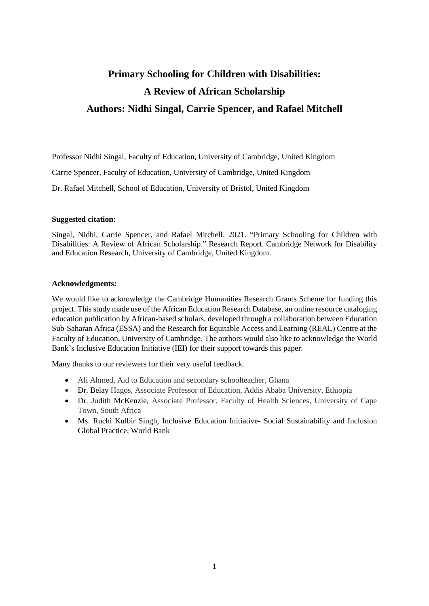# **Primary Schooling for Children with Disabilities: A Review of African Scholarship Authors: Nidhi Singal, Carrie Spencer, and Rafael Mitchell**

Professor Nidhi Singal, Faculty of Education, University of Cambridge, United Kingdom Carrie Spencer, Faculty of Education, University of Cambridge, United Kingdom Dr. Rafael Mitchell, School of Education, University of Bristol, United Kingdom

#### **Suggested citation:**

Singal, Nidhi, Carrie Spencer, and Rafael Mitchell. 2021. "Primary Schooling for Children with Disabilities: A Review of African Scholarship." Research Report. Cambridge Network for Disability and Education Research, University of Cambridge, United Kingdom.

#### **Acknowledgments:**

We would like to acknowledge the Cambridge Humanities Research Grants Scheme for funding this project. This study made use of the African Education Research Database, an online resource cataloging education publication by African-based scholars, developed through a collaboration between Education Sub-Saharan Africa (ESSA) and the Research for Equitable Access and Learning (REAL) Centre at the Faculty of Education, University of Cambridge. The authors would also like to acknowledge the World Bank's Inclusive Education Initiative (IEI) for their support towards this paper.

Many thanks to our reviewers for their very useful feedback.

- Ali Ahmed, Aid to Education and secondary schoolteacher, Ghana
- Dr. Belay Hagos, Associate Professor of Education, Addis Ababa University, Ethiopia
- Dr. Judith McKenzie, Associate Professor, Faculty of Health Sciences, University of Cape Town, South Africa
- Ms. Ruchi Kulbir Singh, Inclusive Education Initiative- Social Sustainability and Inclusion Global Practice, World Bank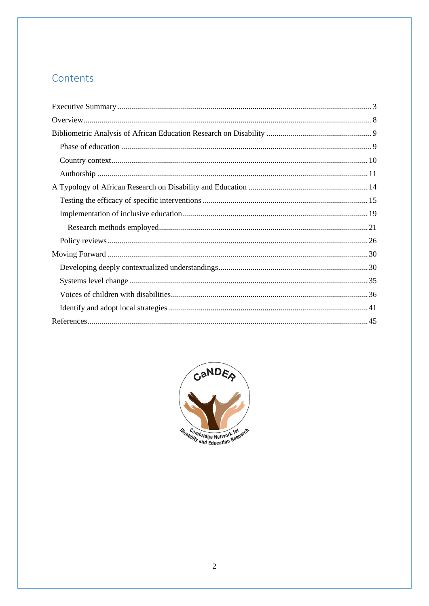## Contents

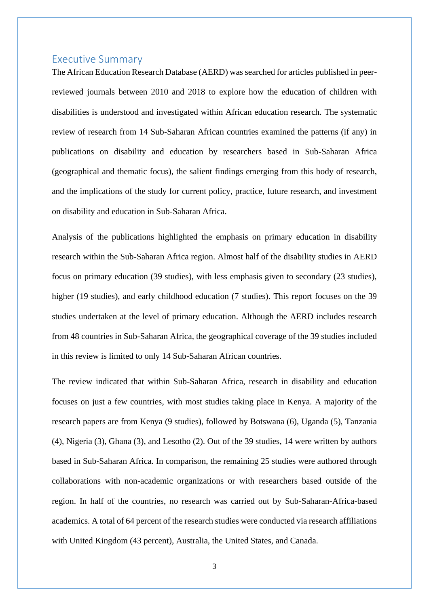## <span id="page-2-0"></span>Executive Summary

The African Education Research Database (AERD) was searched for articles published in peerreviewed journals between 2010 and 2018 to explore how the education of children with disabilities is understood and investigated within African education research. The systematic review of research from 14 Sub-Saharan African countries examined the patterns (if any) in publications on disability and education by researchers based in Sub-Saharan Africa (geographical and thematic focus), the salient findings emerging from this body of research, and the implications of the study for current policy, practice, future research, and investment on disability and education in Sub-Saharan Africa.

Analysis of the publications highlighted the emphasis on primary education in disability research within the Sub-Saharan Africa region. Almost half of the disability studies in AERD focus on primary education (39 studies), with less emphasis given to secondary (23 studies), higher (19 studies), and early childhood education (7 studies). This report focuses on the 39 studies undertaken at the level of primary education. Although the AERD includes research from 48 countries in Sub-Saharan Africa, the geographical coverage of the 39 studies included in this review is limited to only 14 Sub-Saharan African countries.

The review indicated that within Sub-Saharan Africa, research in disability and education focuses on just a few countries, with most studies taking place in Kenya. A majority of the research papers are from Kenya (9 studies), followed by Botswana (6), Uganda (5), Tanzania (4), Nigeria (3), Ghana (3), and Lesotho (2). Out of the 39 studies, 14 were written by authors based in Sub-Saharan Africa. In comparison, the remaining 25 studies were authored through collaborations with non-academic organizations or with researchers based outside of the region. In half of the countries, no research was carried out by Sub-Saharan-Africa-based academics. A total of 64 percent of the research studies were conducted via research affiliations with United Kingdom (43 percent), Australia, the United States, and Canada.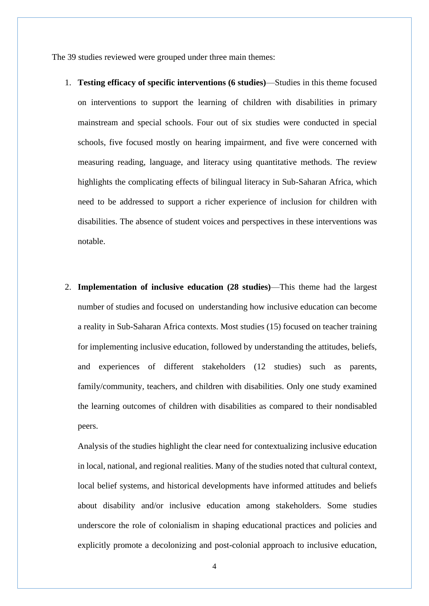The 39 studies reviewed were grouped under three main themes:

- 1. **Testing efficacy of specific interventions (6 studies)**—Studies in this theme focused on interventions to support the learning of children with disabilities in primary mainstream and special schools. Four out of six studies were conducted in special schools, five focused mostly on hearing impairment, and five were concerned with measuring reading, language, and literacy using quantitative methods. The review highlights the complicating effects of bilingual literacy in Sub-Saharan Africa, which need to be addressed to support a richer experience of inclusion for children with disabilities. The absence of student voices and perspectives in these interventions was notable.
- 2. **Implementation of inclusive education (28 studies)**—This theme had the largest number of studies and focused on understanding how inclusive education can become a reality in Sub-Saharan Africa contexts. Most studies (15) focused on teacher training for implementing inclusive education, followed by understanding the attitudes, beliefs, and experiences of different stakeholders (12 studies) such as parents, family/community, teachers, and children with disabilities. Only one study examined the learning outcomes of children with disabilities as compared to their nondisabled peers.

Analysis of the studies highlight the clear need for contextualizing inclusive education in local, national, and regional realities. Many of the studies noted that cultural context, local belief systems, and historical developments have informed attitudes and beliefs about disability and/or inclusive education among stakeholders. Some studies underscore the role of colonialism in shaping educational practices and policies and explicitly promote a decolonizing and post-colonial approach to inclusive education,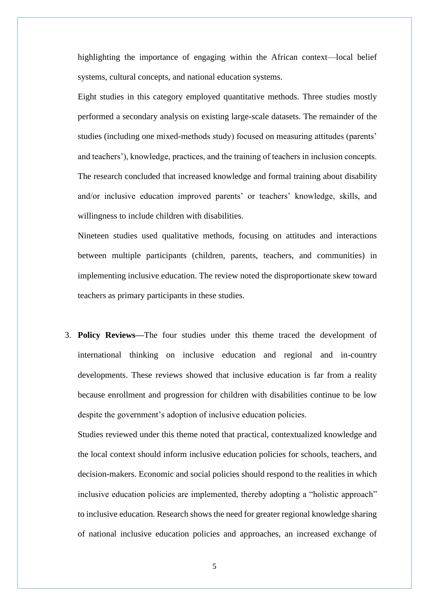highlighting the importance of engaging within the African context—local belief systems, cultural concepts, and national education systems.

Eight studies in this category employed quantitative methods. Three studies mostly performed a secondary analysis on existing large-scale datasets. The remainder of the studies (including one mixed-methods study) focused on measuring attitudes (parents' and teachers'), knowledge, practices, and the training of teachers in inclusion concepts. The research concluded that increased knowledge and formal training about disability and/or inclusive education improved parents' or teachers' knowledge, skills, and willingness to include children with disabilities.

Nineteen studies used qualitative methods, focusing on attitudes and interactions between multiple participants (children, parents, teachers, and communities) in implementing inclusive education. The review noted the disproportionate skew toward teachers as primary participants in these studies.

3. **Policy Reviews—**The four studies under this theme traced the development of international thinking on inclusive education and regional and in-country developments. These reviews showed that inclusive education is far from a reality because enrollment and progression for children with disabilities continue to be low despite the government's adoption of inclusive education policies.

Studies reviewed under this theme noted that practical, contextualized knowledge and the local context should inform inclusive education policies for schools, teachers, and decision-makers. Economic and social policies should respond to the realities in which inclusive education policies are implemented, thereby adopting a "holistic approach" to inclusive education. Research shows the need for greater regional knowledge sharing of national inclusive education policies and approaches, an increased exchange of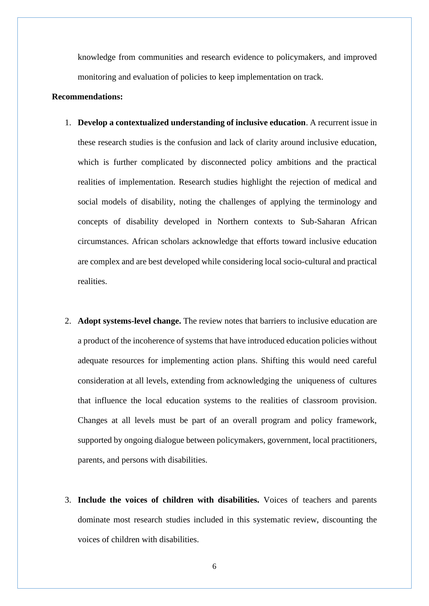knowledge from communities and research evidence to policymakers, and improved monitoring and evaluation of policies to keep implementation on track.

#### **Recommendations:**

- 1. **Develop a contextualized understanding of inclusive education**. A recurrent issue in these research studies is the confusion and lack of clarity around inclusive education, which is further complicated by disconnected policy ambitions and the practical realities of implementation. Research studies highlight the rejection of medical and social models of disability, noting the challenges of applying the terminology and concepts of disability developed in Northern contexts to Sub-Saharan African circumstances. African scholars acknowledge that efforts toward inclusive education are complex and are best developed while considering local socio-cultural and practical realities.
- 2. **Adopt systems-level change.** The review notes that barriers to inclusive education are a product of the incoherence of systems that have introduced education policies without adequate resources for implementing action plans. Shifting this would need careful consideration at all levels, extending from acknowledging the uniqueness of cultures that influence the local education systems to the realities of classroom provision. Changes at all levels must be part of an overall program and policy framework, supported by ongoing dialogue between policymakers, government, local practitioners, parents, and persons with disabilities.
- 3. **Include the voices of children with disabilities.** Voices of teachers and parents dominate most research studies included in this systematic review, discounting the voices of children with disabilities.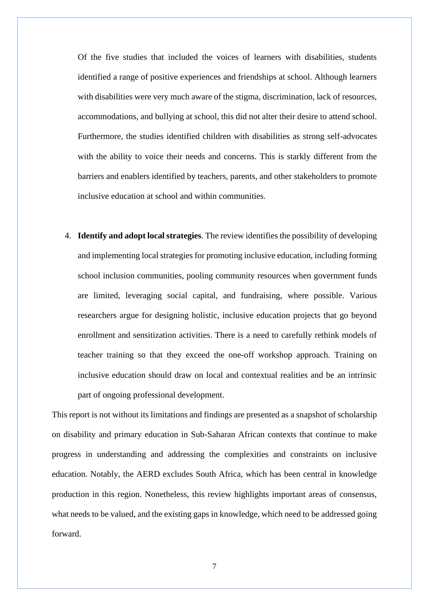Of the five studies that included the voices of learners with disabilities, students identified a range of positive experiences and friendships at school. Although learners with disabilities were very much aware of the stigma, discrimination, lack of resources, accommodations, and bullying at school, this did not alter their desire to attend school. Furthermore, the studies identified children with disabilities as strong self-advocates with the ability to voice their needs and concerns. This is starkly different from the barriers and enablers identified by teachers, parents, and other stakeholders to promote inclusive education at school and within communities.

4. **Identify and adopt local strategies**. The review identifies the possibility of developing and implementing local strategies for promoting inclusive education, including forming school inclusion communities, pooling community resources when government funds are limited, leveraging social capital, and fundraising, where possible. Various researchers argue for designing holistic, inclusive education projects that go beyond enrollment and sensitization activities. There is a need to carefully rethink models of teacher training so that they exceed the one-off workshop approach. Training on inclusive education should draw on local and contextual realities and be an intrinsic part of ongoing professional development.

This report is not without its limitations and findings are presented as a snapshot of scholarship on disability and primary education in Sub-Saharan African contexts that continue to make progress in understanding and addressing the complexities and constraints on inclusive education. Notably, the AERD excludes South Africa, which has been central in knowledge production in this region. Nonetheless, this review highlights important areas of consensus, what needs to be valued, and the existing gaps in knowledge, which need to be addressed going forward.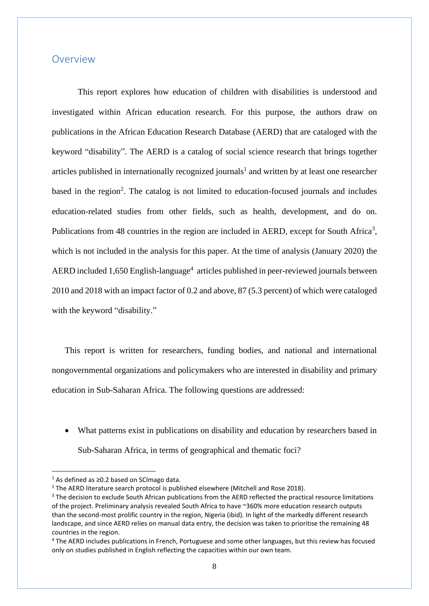### <span id="page-7-0"></span>Overview

This report explores how education of children with disabilities is understood and investigated within African education research. For this purpose, the authors draw on publications in the African Education Research Database (AERD) that are cataloged with the keyword "disability". The AERD is a catalog of social science research that brings together articles published in internationally recognized journals<sup>1</sup> and written by at least one researcher based in the region<sup>2</sup>. The catalog is not limited to education-focused journals and includes education-related studies from other fields, such as health, development, and do on. Publications from 48 countries in the region are included in AERD, except for South Africa<sup>3</sup>, which is not included in the analysis for this paper. At the time of analysis (January 2020) the AERD included 1,650 English-language<sup>4</sup> articles published in peer-reviewed journals between 2010 and 2018 with an impact factor of 0.2 and above, 87 (5.3 percent) of which were cataloged with the keyword "disability."

This report is written for researchers, funding bodies, and national and international nongovernmental organizations and policymakers who are interested in disability and primary education in Sub-Saharan Africa. The following questions are addressed:

• What patterns exist in publications on disability and education by researchers based in Sub-Saharan Africa, in terms of geographical and thematic foci?

<sup>1</sup> As defined as ≥0.2 based on SCImago data.

<sup>&</sup>lt;sup>2</sup> The AERD literature search protocol is published elsewhere (Mitchell and Rose 2018).

<sup>&</sup>lt;sup>3</sup> The decision to exclude South African publications from the AERD reflected the practical resource limitations of the project. Preliminary analysis revealed South Africa to have ~360% more education research outputs than the second-most prolific country in the region, Nigeria (ibid). In light of the markedly different research landscape, and since AERD relies on manual data entry, the decision was taken to prioritise the remaining 48 countries in the region.

<sup>4</sup> The AERD includes publications in French, Portuguese and some other languages, but this review has focused only on studies published in English reflecting the capacities within our own team.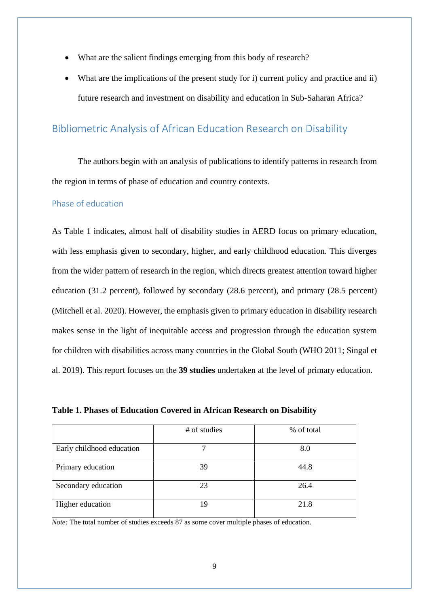- What are the salient findings emerging from this body of research?
- What are the implications of the present study for i) current policy and practice and ii) future research and investment on disability and education in Sub-Saharan Africa?

## <span id="page-8-0"></span>Bibliometric Analysis of African Education Research on Disability

The authors begin with an analysis of publications to identify patterns in research from the region in terms of phase of education and country contexts.

### <span id="page-8-1"></span>Phase of education

As Table 1 indicates, almost half of disability studies in AERD focus on primary education, with less emphasis given to secondary, higher, and early childhood education. This diverges from the wider pattern of research in the region, which directs greatest attention toward higher education (31.2 percent), followed by secondary (28.6 percent), and primary (28.5 percent) (Mitchell et al. 2020). However, the emphasis given to primary education in disability research makes sense in the light of inequitable access and progression through the education system for children with disabilities across many countries in the Global South (WHO 2011; Singal et al. 2019). This report focuses on the **39 studies** undertaken at the level of primary education.

|                           | # of studies | % of total |
|---------------------------|--------------|------------|
| Early childhood education |              | 8.0        |
| Primary education         | 39           | 44.8       |
| Secondary education       | 23           | 26.4       |
| Higher education          | 19           | 21.8       |

**Table 1. Phases of Education Covered in African Research on Disability**

*Note:* The total number of studies exceeds 87 as some cover multiple phases of education.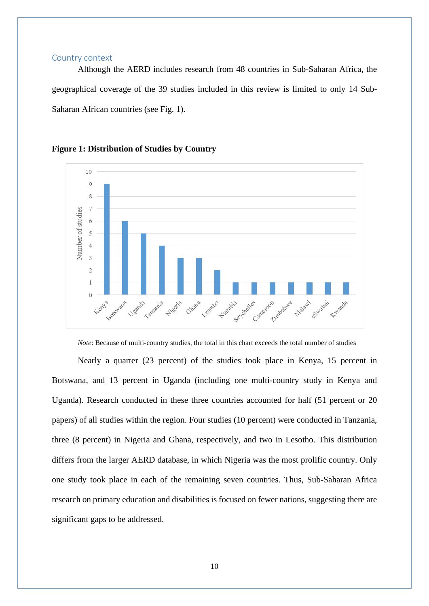#### <span id="page-9-0"></span>Country context

Although the AERD includes research from 48 countries in Sub-Saharan Africa, the geographical coverage of the 39 studies included in this review is limited to only 14 Sub-Saharan African countries (see Fig. 1).



#### **Figure 1: Distribution of Studies by Country**

*Note*: Because of multi-country studies, the total in this chart exceeds the total number of studies

Nearly a quarter (23 percent) of the studies took place in Kenya, 15 percent in Botswana, and 13 percent in Uganda (including one multi-country study in Kenya and Uganda). Research conducted in these three countries accounted for half (51 percent or 20 papers) of all studies within the region. Four studies (10 percent) were conducted in Tanzania, three (8 percent) in Nigeria and Ghana, respectively, and two in Lesotho. This distribution differs from the larger AERD database, in which Nigeria was the most prolific country. Only one study took place in each of the remaining seven countries. Thus, Sub-Saharan Africa research on primary education and disabilities is focused on fewer nations, suggesting there are significant gaps to be addressed.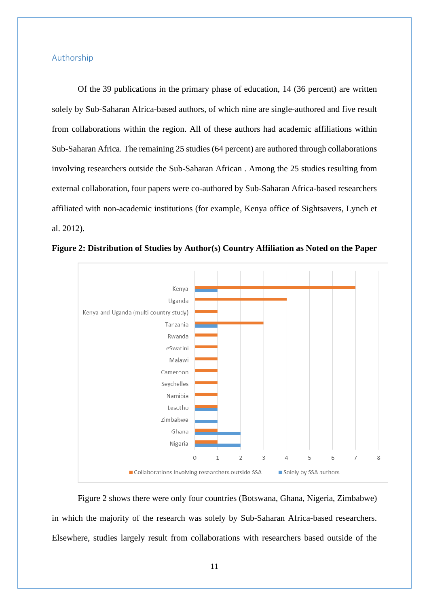#### <span id="page-10-0"></span>Authorship

Of the 39 publications in the primary phase of education, 14 (36 percent) are written solely by Sub-Saharan Africa-based authors, of which nine are single-authored and five result from collaborations within the region. All of these authors had academic affiliations within Sub-Saharan Africa. The remaining 25 studies (64 percent) are authored through collaborations involving researchers outside the Sub-Saharan African . Among the 25 studies resulting from external collaboration, four papers were co-authored by Sub-Saharan Africa-based researchers affiliated with non-academic institutions (for example, Kenya office of Sightsavers, Lynch et al. 2012).



**Figure 2: Distribution of Studies by Author(s) Country Affiliation as Noted on the Paper**

Figure 2 shows there were only four countries (Botswana, Ghana, Nigeria, Zimbabwe) in which the majority of the research was solely by Sub-Saharan Africa-based researchers. Elsewhere, studies largely result from collaborations with researchers based outside of the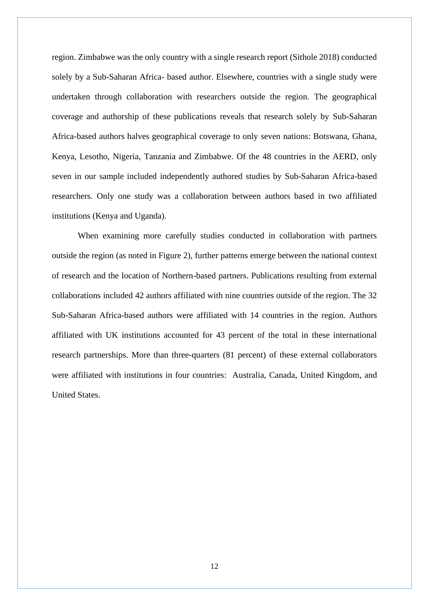region. Zimbabwe was the only country with a single research report (Sithole 2018) conducted solely by a Sub-Saharan Africa- based author. Elsewhere, countries with a single study were undertaken through collaboration with researchers outside the region. The geographical coverage and authorship of these publications reveals that research solely by Sub-Saharan Africa-based authors halves geographical coverage to only seven nations: Botswana, Ghana, Kenya, Lesotho, Nigeria, Tanzania and Zimbabwe. Of the 48 countries in the AERD, only seven in our sample included independently authored studies by Sub-Saharan Africa-based researchers. Only one study was a collaboration between authors based in two affiliated institutions (Kenya and Uganda).

When examining more carefully studies conducted in collaboration with partners outside the region (as noted in Figure 2), further patterns emerge between the national context of research and the location of Northern-based partners. Publications resulting from external collaborations included 42 authors affiliated with nine countries outside of the region. The 32 Sub-Saharan Africa-based authors were affiliated with 14 countries in the region. Authors affiliated with UK institutions accounted for 43 percent of the total in these international research partnerships. More than three-quarters (81 percent) of these external collaborators were affiliated with institutions in four countries: Australia, Canada, United Kingdom, and United States.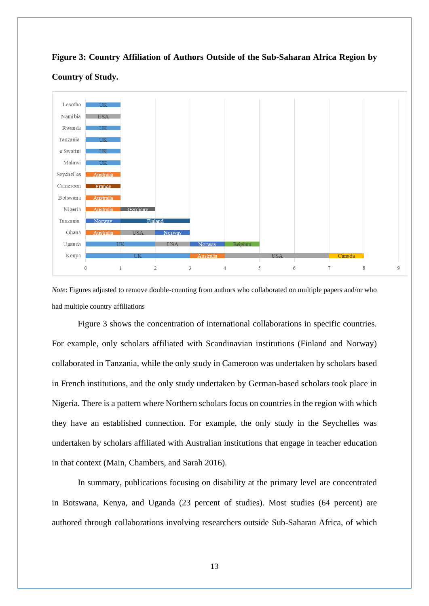



#### **Country of Study.**

*Note*: Figures adjusted to remove double-counting from authors who collaborated on multiple papers and/or who had multiple country affiliations

Figure 3 shows the concentration of international collaborations in specific countries. For example, only scholars affiliated with Scandinavian institutions (Finland and Norway) collaborated in Tanzania, while the only study in Cameroon was undertaken by scholars based in French institutions, and the only study undertaken by German-based scholars took place in Nigeria. There is a pattern where Northern scholars focus on countries in the region with which they have an established connection. For example, the only study in the Seychelles was undertaken by scholars affiliated with Australian institutions that engage in teacher education in that context (Main, Chambers, and Sarah 2016).

In summary, publications focusing on disability at the primary level are concentrated in Botswana, Kenya, and Uganda (23 percent of studies). Most studies (64 percent) are authored through collaborations involving researchers outside Sub-Saharan Africa, of which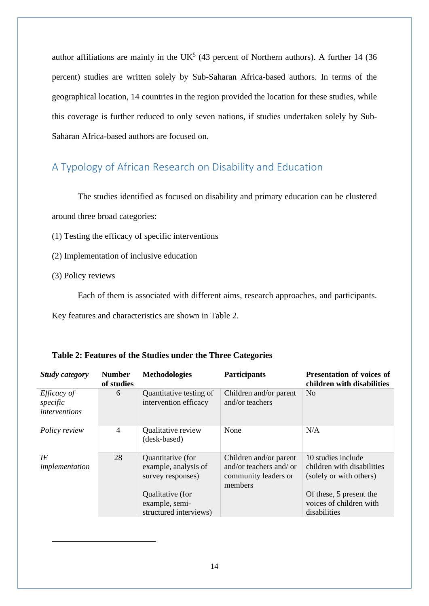author affiliations are mainly in the UK<sup>5</sup> (43 percent of Northern authors). A further 14 (36 percent) studies are written solely by Sub-Saharan Africa-based authors. In terms of the geographical location, 14 countries in the region provided the location for these studies, while this coverage is further reduced to only seven nations, if studies undertaken solely by Sub-Saharan Africa-based authors are focused on.

## <span id="page-13-0"></span>A Typology of African Research on Disability and Education

The studies identified as focused on disability and primary education can be clustered around three broad categories:

(1) Testing the efficacy of specific interventions

- (2) Implementation of inclusive education
- (3) Policy reviews

Each of them is associated with different aims, research approaches, and participants.

Key features and characteristics are shown in Table 2.

| <b>Study category</b>                                  | <b>Number</b><br>of studies | <b>Methodologies</b>                                           | <b>Participants</b>                                                                  | <b>Presentation of voices of</b><br>children with disabilities              |
|--------------------------------------------------------|-----------------------------|----------------------------------------------------------------|--------------------------------------------------------------------------------------|-----------------------------------------------------------------------------|
| <i>Efficacy of</i><br>specific<br><i>interventions</i> | 6                           | Quantitative testing of<br>intervention efficacy               | Children and/or parent<br>and/or teachers                                            | N <sub>0</sub>                                                              |
| Policy review                                          | $\overline{4}$              | Qualitative review<br>(desk-based)                             | None                                                                                 | N/A                                                                         |
| IE<br>implementation                                   | 28                          | Quantitative (for<br>example, analysis of<br>survey responses) | Children and/or parent<br>and/or teachers and/ or<br>community leaders or<br>members | 10 studies include<br>children with disabilities<br>(solely or with others) |
|                                                        |                             | Qualitative (for<br>example, semi-<br>structured interviews)   |                                                                                      | Of these, 5 present the<br>voices of children with<br>disabilities          |

|  |  |  |  | Table 2: Features of the Studies under the Three Categories |
|--|--|--|--|-------------------------------------------------------------|
|  |  |  |  |                                                             |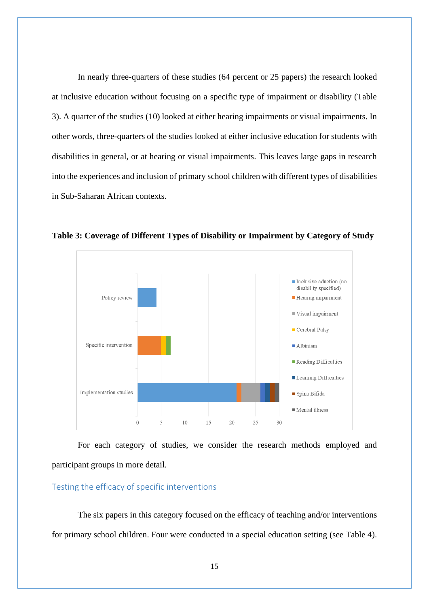In nearly three-quarters of these studies (64 percent or 25 papers) the research looked at inclusive education without focusing on a specific type of impairment or disability (Table 3). A quarter of the studies (10) looked at either hearing impairments or visual impairments. In other words, three-quarters of the studies looked at either inclusive education for students with disabilities in general, or at hearing or visual impairments. This leaves large gaps in research into the experiences and inclusion of primary school children with different types of disabilities in Sub-Saharan African contexts.



**Table 3: Coverage of Different Types of Disability or Impairment by Category of Study**

For each category of studies, we consider the research methods employed and participant groups in more detail.

#### <span id="page-14-0"></span>Testing the efficacy of specific interventions

The six papers in this category focused on the efficacy of teaching and/or interventions for primary school children. Four were conducted in a special education setting (see Table 4).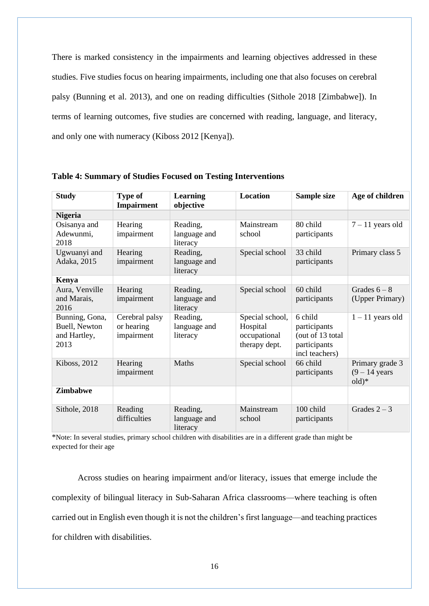There is marked consistency in the impairments and learning objectives addressed in these studies. Five studies focus on hearing impairments, including one that also focuses on cerebral palsy (Bunning et al. 2013), and one on reading difficulties (Sithole 2018 [Zimbabwe]). In terms of learning outcomes, five studies are concerned with reading, language, and literacy, and only one with numeracy (Kiboss 2012 [Kenya]).

| <b>Study</b>                                            | <b>Type of</b><br>Impairment               | Learning<br>objective                | Location                                                     | Sample size                                                                   | Age of children                               |
|---------------------------------------------------------|--------------------------------------------|--------------------------------------|--------------------------------------------------------------|-------------------------------------------------------------------------------|-----------------------------------------------|
| <b>Nigeria</b>                                          |                                            |                                      |                                                              |                                                                               |                                               |
| Osisanya and<br>Adewunmi,<br>2018                       | Hearing<br>impairment                      | Reading,<br>language and<br>literacy | Mainstream<br>school                                         | 80 child<br>participants                                                      | $7 - 11$ years old                            |
| Ugwuanyi and<br>Adaka, 2015                             | Hearing<br>impairment                      | Reading,<br>language and<br>literacy | Special school                                               | 33 child<br>participants                                                      | Primary class 5                               |
| Kenya                                                   |                                            |                                      |                                                              |                                                                               |                                               |
| Aura, Venville<br>and Marais,<br>2016                   | Hearing<br>impairment                      | Reading,<br>language and<br>literacy | Special school                                               | 60 child<br>participants                                                      | Grades $6-8$<br>(Upper Primary)               |
| Bunning, Gona,<br>Buell, Newton<br>and Hartley,<br>2013 | Cerebral palsy<br>or hearing<br>impairment | Reading,<br>language and<br>literacy | Special school,<br>Hospital<br>occupational<br>therapy dept. | 6 child<br>participants<br>(out of 13 total<br>participants<br>incl teachers) | $1 - 11$ years old                            |
| Kiboss, 2012                                            | Hearing<br>impairment                      | Maths                                | Special school                                               | 66 child<br>participants                                                      | Primary grade 3<br>$(9 - 14$ years<br>$old)*$ |
| <b>Zimbabwe</b>                                         |                                            |                                      |                                                              |                                                                               |                                               |
| Sithole, 2018                                           | Reading<br>difficulties                    | Reading,<br>language and<br>literacy | Mainstream<br>school                                         | 100 child<br>participants                                                     | Grades $2-3$                                  |

**Table 4: Summary of Studies Focused on Testing Interventions**

\*Note: In several studies, primary school children with disabilities are in a different grade than might be expected for their age

Across studies on hearing impairment and/or literacy, issues that emerge include the complexity of bilingual literacy in Sub-Saharan Africa classrooms—where teaching is often carried out in English even though it is not the children's first language—and teaching practices for children with disabilities.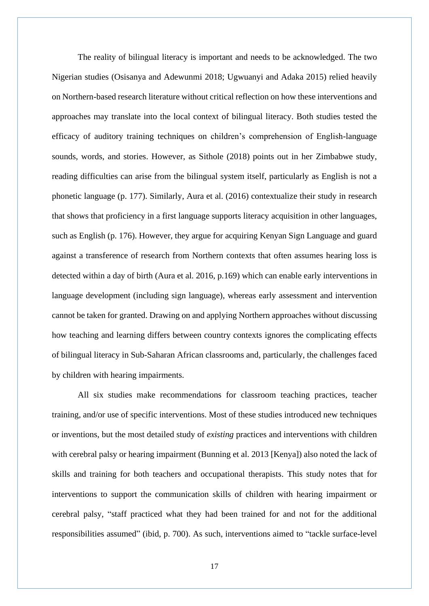The reality of bilingual literacy is important and needs to be acknowledged. The two Nigerian studies (Osisanya and Adewunmi 2018; Ugwuanyi and Adaka 2015) relied heavily on Northern-based research literature without critical reflection on how these interventions and approaches may translate into the local context of bilingual literacy. Both studies tested the efficacy of auditory training techniques on children's comprehension of English-language sounds, words, and stories. However, as Sithole (2018) points out in her Zimbabwe study, reading difficulties can arise from the bilingual system itself, particularly as English is not a phonetic language (p. 177). Similarly, Aura et al. (2016) contextualize their study in research that shows that proficiency in a first language supports literacy acquisition in other languages, such as English (p. 176). However, they argue for acquiring Kenyan Sign Language and guard against a transference of research from Northern contexts that often assumes hearing loss is detected within a day of birth (Aura et al. 2016, p.169) which can enable early interventions in language development (including sign language), whereas early assessment and intervention cannot be taken for granted. Drawing on and applying Northern approaches without discussing how teaching and learning differs between country contexts ignores the complicating effects of bilingual literacy in Sub-Saharan African classrooms and, particularly, the challenges faced by children with hearing impairments.

All six studies make recommendations for classroom teaching practices, teacher training, and/or use of specific interventions. Most of these studies introduced new techniques or inventions, but the most detailed study of *existing* practices and interventions with children with cerebral palsy or hearing impairment (Bunning et al. 2013 [Kenya]) also noted the lack of skills and training for both teachers and occupational therapists. This study notes that for interventions to support the communication skills of children with hearing impairment or cerebral palsy, "staff practiced what they had been trained for and not for the additional responsibilities assumed" (ibid, p. 700). As such, interventions aimed to "tackle surface-level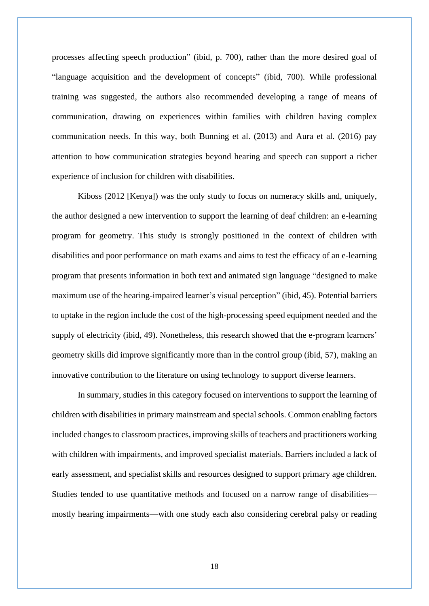processes affecting speech production" (ibid, p. 700), rather than the more desired goal of "language acquisition and the development of concepts" (ibid, 700). While professional training was suggested, the authors also recommended developing a range of means of communication, drawing on experiences within families with children having complex communication needs. In this way, both Bunning et al. (2013) and Aura et al. (2016) pay attention to how communication strategies beyond hearing and speech can support a richer experience of inclusion for children with disabilities.

Kiboss (2012 [Kenya]) was the only study to focus on numeracy skills and, uniquely, the author designed a new intervention to support the learning of deaf children: an e-learning program for geometry. This study is strongly positioned in the context of children with disabilities and poor performance on math exams and aims to test the efficacy of an e-learning program that presents information in both text and animated sign language "designed to make maximum use of the hearing-impaired learner's visual perception" (ibid, 45). Potential barriers to uptake in the region include the cost of the high-processing speed equipment needed and the supply of electricity (ibid, 49). Nonetheless, this research showed that the e-program learners' geometry skills did improve significantly more than in the control group (ibid, 57), making an innovative contribution to the literature on using technology to support diverse learners.

In summary, studies in this category focused on interventions to support the learning of children with disabilities in primary mainstream and special schools. Common enabling factors included changes to classroom practices, improving skills of teachers and practitioners working with children with impairments, and improved specialist materials. Barriers included a lack of early assessment, and specialist skills and resources designed to support primary age children. Studies tended to use quantitative methods and focused on a narrow range of disabilities mostly hearing impairments—with one study each also considering cerebral palsy or reading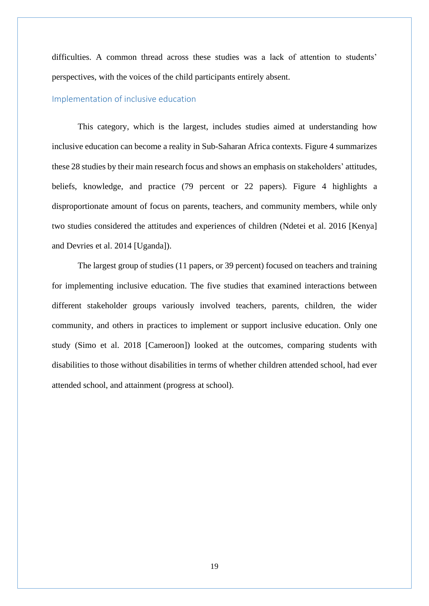difficulties. A common thread across these studies was a lack of attention to students' perspectives, with the voices of the child participants entirely absent.

#### <span id="page-18-0"></span>Implementation of inclusive education

This category, which is the largest, includes studies aimed at understanding how inclusive education can become a reality in Sub-Saharan Africa contexts. Figure 4 summarizes these 28 studies by their main research focus and shows an emphasis on stakeholders' attitudes, beliefs, knowledge, and practice (79 percent or 22 papers). Figure 4 highlights a disproportionate amount of focus on parents, teachers, and community members, while only two studies considered the attitudes and experiences of children (Ndetei et al. 2016 [Kenya] and Devries et al. 2014 [Uganda]).

The largest group of studies (11 papers, or 39 percent) focused on teachers and training for implementing inclusive education. The five studies that examined interactions between different stakeholder groups variously involved teachers, parents, children, the wider community, and others in practices to implement or support inclusive education. Only one study (Simo et al. 2018 [Cameroon]) looked at the outcomes, comparing students with disabilities to those without disabilities in terms of whether children attended school, had ever attended school, and attainment (progress at school).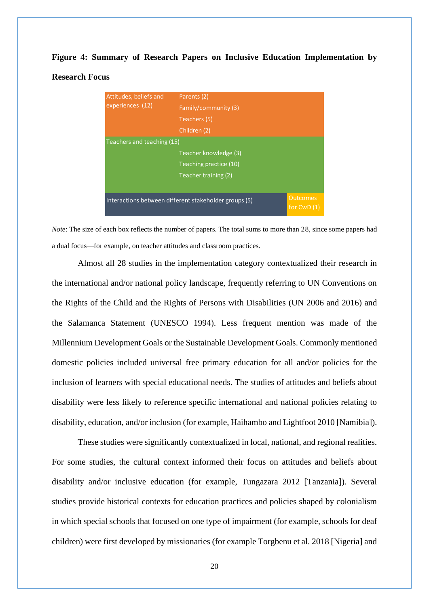# **Figure 4: Summary of Research Papers on Inclusive Education Implementation by Research Focus**

| Attitudes, beliefs and     | Parents (2)                                           |                                 |
|----------------------------|-------------------------------------------------------|---------------------------------|
| experiences (12)           | Family/community (3)                                  |                                 |
|                            | Teachers (5)                                          |                                 |
|                            | Children (2)                                          |                                 |
| Teachers and teaching (15) |                                                       |                                 |
|                            | Teacher knowledge (3)                                 |                                 |
|                            | Teaching practice (10)                                |                                 |
|                            | Teacher training (2)                                  |                                 |
|                            |                                                       |                                 |
|                            | Interactions between different stakeholder groups (5) | <b>Outcomes</b><br>for $CWD(1)$ |

*Note*: The size of each box reflects the number of papers. The total sums to more than 28, since some papers had a dual focus—for example, on teacher attitudes and classroom practices.

Almost all 28 studies in the implementation category contextualized their research in the international and/or national policy landscape, frequently referring to UN Conventions on the Rights of the Child and the Rights of Persons with Disabilities (UN 2006 and 2016) and the Salamanca Statement (UNESCO 1994). Less frequent mention was made of the Millennium Development Goals or the Sustainable Development Goals. Commonly mentioned domestic policies included universal free primary education for all and/or policies for the inclusion of learners with special educational needs. The studies of attitudes and beliefs about disability were less likely to reference specific international and national policies relating to disability, education, and/or inclusion (for example, Haihambo and Lightfoot 2010 [Namibia]).

These studies were significantly contextualized in local, national, and regional realities. For some studies, the cultural context informed their focus on attitudes and beliefs about disability and/or inclusive education (for example, Tungazara 2012 [Tanzania]). Several studies provide historical contexts for education practices and policies shaped by colonialism in which special schools that focused on one type of impairment (for example, schools for deaf children) were first developed by missionaries (for example Torgbenu et al. 2018 [Nigeria] and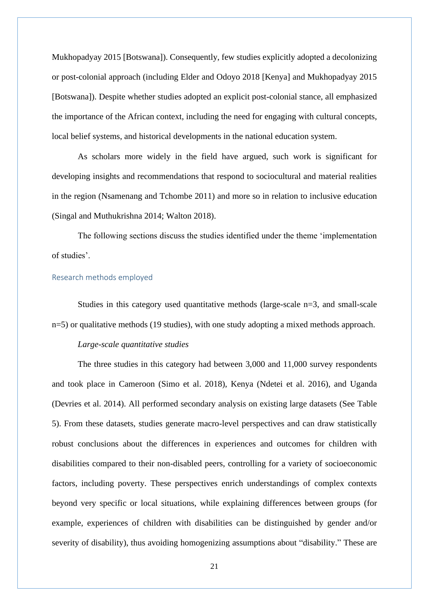Mukhopadyay 2015 [Botswana]). Consequently, few studies explicitly adopted a decolonizing or post-colonial approach (including Elder and Odoyo 2018 [Kenya] and Mukhopadyay 2015 [Botswana]). Despite whether studies adopted an explicit post-colonial stance, all emphasized the importance of the African context, including the need for engaging with cultural concepts, local belief systems, and historical developments in the national education system.

As scholars more widely in the field have argued, such work is significant for developing insights and recommendations that respond to sociocultural and material realities in the region (Nsamenang and Tchombe 2011) and more so in relation to inclusive education (Singal and Muthukrishna 2014; Walton 2018).

The following sections discuss the studies identified under the theme 'implementation of studies'.

#### <span id="page-20-0"></span>Research methods employed

Studies in this category used quantitative methods (large-scale n=3, and small-scale n=5) or qualitative methods (19 studies), with one study adopting a mixed methods approach.

#### *Large-scale quantitative studies*

The three studies in this category had between 3,000 and 11,000 survey respondents and took place in Cameroon (Simo et al. 2018), Kenya (Ndetei et al. 2016), and Uganda (Devries et al. 2014). All performed secondary analysis on existing large datasets (See Table 5). From these datasets, studies generate macro-level perspectives and can draw statistically robust conclusions about the differences in experiences and outcomes for children with disabilities compared to their non-disabled peers, controlling for a variety of socioeconomic factors, including poverty. These perspectives enrich understandings of complex contexts beyond very specific or local situations, while explaining differences between groups (for example, experiences of children with disabilities can be distinguished by gender and/or severity of disability), thus avoiding homogenizing assumptions about "disability." These are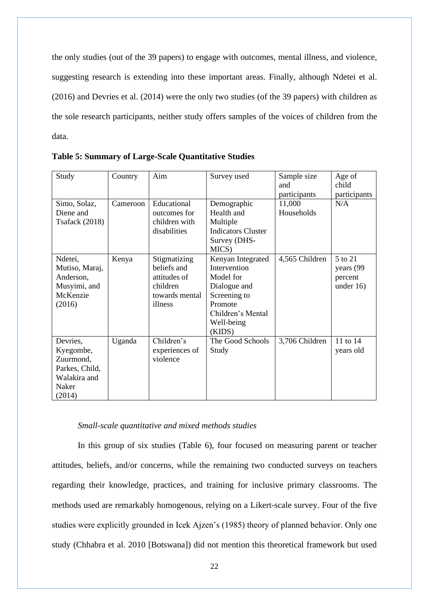the only studies (out of the 39 papers) to engage with outcomes, mental illness, and violence, suggesting research is extending into these important areas. Finally, although Ndetei et al. (2016) and Devries et al. (2014) were the only two studies (of the 39 papers) with children as the sole research participants, neither study offers samples of the voices of children from the data.

| Study                     | Country  | Aim                         | Survey used               | Sample size          | Age of       |
|---------------------------|----------|-----------------------------|---------------------------|----------------------|--------------|
|                           |          |                             |                           | and                  | child        |
|                           |          |                             |                           | participants         | participants |
| Simo, Solaz,<br>Diene and | Cameroon | Educational<br>outcomes for | Demographic<br>Health and | 11,000<br>Households | N/A          |
| <b>Tsafack</b> (2018)     |          | children with               | Multiple                  |                      |              |
|                           |          | disabilities                | <b>Indicators Cluster</b> |                      |              |
|                           |          |                             | Survey (DHS-              |                      |              |
|                           |          |                             | MICS)                     |                      |              |
| Ndetei,                   | Kenya    | Stigmatizing                | Kenyan Integrated         | 4,565 Children       | 5 to 21      |
| Mutiso, Maraj,            |          | beliefs and                 | Intervention              |                      | years (99    |
| Anderson,                 |          | attitudes of                | Model for                 |                      | percent      |
| Musyimi, and              |          | children                    | Dialogue and              |                      | under $16$ ) |
| McKenzie                  |          | towards mental              | Screening to              |                      |              |
| (2016)                    |          | illness                     | Promote                   |                      |              |
|                           |          |                             | Children's Mental         |                      |              |
|                           |          |                             | Well-being                |                      |              |
|                           |          |                             | (KIDS)                    |                      |              |
| Devries,                  | Uganda   | Children's                  | The Good Schools          | 3,706 Children       | 11 to 14     |
| Kyegombe,                 |          | experiences of              | Study                     |                      | years old    |
| Zuurmond,                 |          | violence                    |                           |                      |              |
| Parkes, Child,            |          |                             |                           |                      |              |
| Walakira and              |          |                             |                           |                      |              |
| Naker                     |          |                             |                           |                      |              |
| (2014)                    |          |                             |                           |                      |              |

**Table 5: Summary of Large-Scale Quantitative Studies**

#### *Small-scale quantitative and mixed methods studies*

In this group of six studies (Table 6), four focused on measuring parent or teacher attitudes, beliefs, and/or concerns, while the remaining two conducted surveys on teachers regarding their knowledge, practices, and training for inclusive primary classrooms. The methods used are remarkably homogenous, relying on a Likert-scale survey. Four of the five studies were explicitly grounded in Icek Ajzen's (1985) theory of planned behavior. Only one study (Chhabra et al. 2010 [Botswana]) did not mention this theoretical framework but used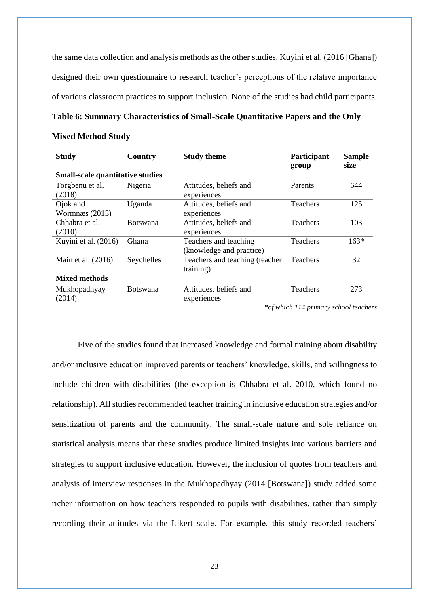the same data collection and analysis methods as the other studies. Kuyini et al. (2016 [Ghana]) designed their own questionnaire to research teacher's perceptions of the relative importance of various classroom practices to support inclusion. None of the studies had child participants.

#### **Table 6: Summary Characteristics of Small-Scale Quantitative Papers and the Only**

#### **Mixed Method Study**

| <b>Study</b>                            | Country         | <b>Study theme</b>                                | Participant<br>group                            | <b>Sample</b><br>size                             |
|-----------------------------------------|-----------------|---------------------------------------------------|-------------------------------------------------|---------------------------------------------------|
| <b>Small-scale quantitative studies</b> |                 |                                                   |                                                 |                                                   |
| Torgbenu et al.<br>(2018)               | Nigeria         | Attitudes, beliefs and<br>experiences             | Parents                                         | 644                                               |
| Ojok and<br>Wormnæs $(2013)$            | Uganda          | Attitudes, beliefs and<br>experiences             | <b>Teachers</b>                                 | 125                                               |
| Chhabra et al.<br>(2010)                | <b>Botswana</b> | Attitudes, beliefs and<br>experiences             | <b>Teachers</b>                                 | 103                                               |
| Kuyini et al. (2016)                    | Ghana           | Teachers and teaching<br>(knowledge and practice) | <b>Teachers</b>                                 | $163*$                                            |
| Main et al. (2016)                      | Seychelles      | Teachers and teaching (teacher<br>training)       | <b>Teachers</b>                                 | 32                                                |
| <b>Mixed methods</b>                    |                 |                                                   |                                                 |                                                   |
| Mukhopadhyay<br>(2014)                  | <b>Botswana</b> | Attitudes, beliefs and<br>experiences             | Teachers<br>$\cdots$ $\cdots$ $\cdots$ $\cdots$ | 273<br>$\mathbf{r}$ , $\mathbf{r}$ , $\mathbf{r}$ |

*\*of which 114 primary school teachers*

Five of the studies found that increased knowledge and formal training about disability and/or inclusive education improved parents or teachers' knowledge, skills, and willingness to include children with disabilities (the exception is Chhabra et al. 2010, which found no relationship). All studies recommended teacher training in inclusive education strategies and/or sensitization of parents and the community. The small-scale nature and sole reliance on statistical analysis means that these studies produce limited insights into various barriers and strategies to support inclusive education. However, the inclusion of quotes from teachers and analysis of interview responses in the Mukhopadhyay (2014 [Botswana]) study added some richer information on how teachers responded to pupils with disabilities, rather than simply recording their attitudes via the Likert scale. For example, this study recorded teachers'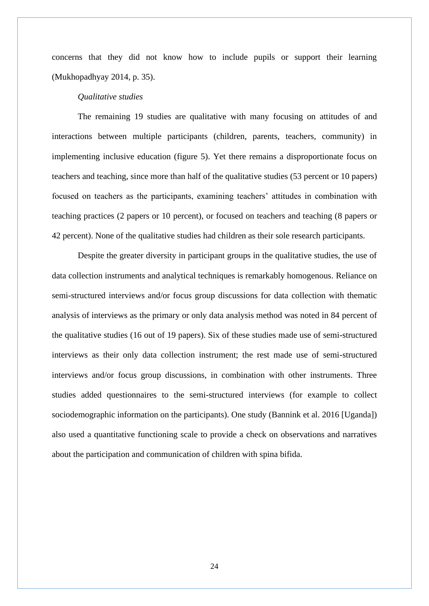concerns that they did not know how to include pupils or support their learning (Mukhopadhyay 2014, p. 35).

#### *Qualitative studies*

The remaining 19 studies are qualitative with many focusing on attitudes of and interactions between multiple participants (children, parents, teachers, community) in implementing inclusive education (figure 5). Yet there remains a disproportionate focus on teachers and teaching, since more than half of the qualitative studies (53 percent or 10 papers) focused on teachers as the participants, examining teachers' attitudes in combination with teaching practices (2 papers or 10 percent), or focused on teachers and teaching (8 papers or 42 percent). None of the qualitative studies had children as their sole research participants.

Despite the greater diversity in participant groups in the qualitative studies, the use of data collection instruments and analytical techniques is remarkably homogenous. Reliance on semi-structured interviews and/or focus group discussions for data collection with thematic analysis of interviews as the primary or only data analysis method was noted in 84 percent of the qualitative studies (16 out of 19 papers). Six of these studies made use of semi-structured interviews as their only data collection instrument; the rest made use of semi-structured interviews and/or focus group discussions, in combination with other instruments. Three studies added questionnaires to the semi-structured interviews (for example to collect sociodemographic information on the participants). One study (Bannink et al. 2016 [Uganda]) also used a quantitative functioning scale to provide a check on observations and narratives about the participation and communication of children with spina bifida.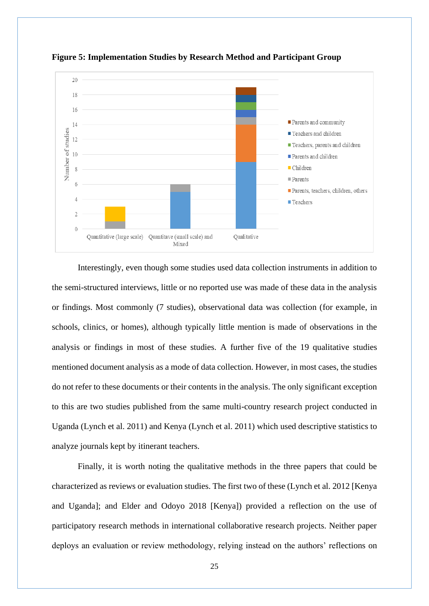

**Figure 5: Implementation Studies by Research Method and Participant Group** 

Interestingly, even though some studies used data collection instruments in addition to the semi-structured interviews, little or no reported use was made of these data in the analysis or findings. Most commonly (7 studies), observational data was collection (for example, in schools, clinics, or homes), although typically little mention is made of observations in the analysis or findings in most of these studies. A further five of the 19 qualitative studies mentioned document analysis as a mode of data collection. However, in most cases, the studies do not refer to these documents or their contents in the analysis. The only significant exception to this are two studies published from the same multi-country research project conducted in Uganda (Lynch et al. 2011) and Kenya (Lynch et al. 2011) which used descriptive statistics to analyze journals kept by itinerant teachers.

Finally, it is worth noting the qualitative methods in the three papers that could be characterized as reviews or evaluation studies. The first two of these (Lynch et al. 2012 [Kenya and Uganda]; and Elder and Odoyo 2018 [Kenya]) provided a reflection on the use of participatory research methods in international collaborative research projects. Neither paper deploys an evaluation or review methodology, relying instead on the authors' reflections on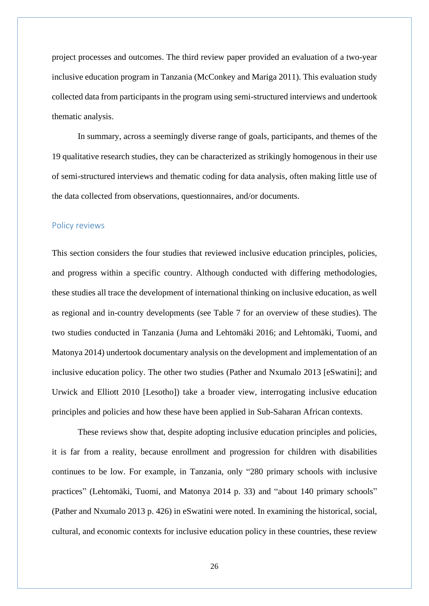project processes and outcomes. The third review paper provided an evaluation of a two-year inclusive education program in Tanzania (McConkey and Mariga 2011). This evaluation study collected data from participants in the program using semi-structured interviews and undertook thematic analysis.

In summary, across a seemingly diverse range of goals, participants, and themes of the 19 qualitative research studies, they can be characterized as strikingly homogenous in their use of semi-structured interviews and thematic coding for data analysis, often making little use of the data collected from observations, questionnaires, and/or documents.

#### <span id="page-25-0"></span>Policy reviews

This section considers the four studies that reviewed inclusive education principles, policies, and progress within a specific country. Although conducted with differing methodologies, these studies all trace the development of international thinking on inclusive education, as well as regional and in-country developments (see Table 7 for an overview of these studies). The two studies conducted in Tanzania (Juma and Lehtomäki 2016; and Lehtomäki, Tuomi, and Matonya 2014) undertook documentary analysis on the development and implementation of an inclusive education policy. The other two studies (Pather and Nxumalo 2013 [eSwatini]; and Urwick and Elliott 2010 [Lesotho]) take a broader view, interrogating inclusive education principles and policies and how these have been applied in Sub-Saharan African contexts.

These reviews show that, despite adopting inclusive education principles and policies, it is far from a reality, because enrollment and progression for children with disabilities continues to be low. For example, in Tanzania, only "280 primary schools with inclusive practices" (Lehtomäki, Tuomi, and Matonya 2014 p. 33) and "about 140 primary schools" (Pather and Nxumalo 2013 p. 426) in eSwatini were noted. In examining the historical, social, cultural, and economic contexts for inclusive education policy in these countries, these review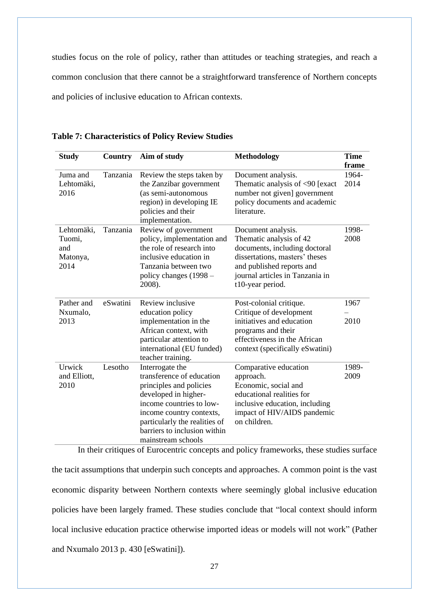studies focus on the role of policy, rather than attitudes or teaching strategies, and reach a common conclusion that there cannot be a straightforward transference of Northern concepts and policies of inclusive education to African contexts.

| <b>Study</b>                                    | Country  | Aim of study                                                                                                                                                                                                                                   | <b>Methodology</b>                                                                                                                                                                                   | <b>Time</b><br>frame |
|-------------------------------------------------|----------|------------------------------------------------------------------------------------------------------------------------------------------------------------------------------------------------------------------------------------------------|------------------------------------------------------------------------------------------------------------------------------------------------------------------------------------------------------|----------------------|
| Juma and<br>Lehtomäki,<br>2016                  | Tanzania | Review the steps taken by<br>the Zanzibar government<br>(as semi-autonomous<br>region) in developing IE<br>policies and their<br>implementation.                                                                                               | Document analysis.<br>Thematic analysis of $\leq 90$ [exact<br>number not given] government<br>policy documents and academic<br>literature.                                                          | 1964-<br>2014        |
| Lehtomäki,<br>Tuomi,<br>and<br>Matonya,<br>2014 | Tanzania | Review of government<br>policy, implementation and<br>the role of research into<br>inclusive education in<br>Tanzania between two<br>policy changes (1998 –<br>2008).                                                                          | Document analysis.<br>Thematic analysis of 42<br>documents, including doctoral<br>dissertations, masters' theses<br>and published reports and<br>journal articles in Tanzania in<br>t10-year period. | 1998-<br>2008        |
| Pather and<br>Nxumalo,<br>2013                  | eSwatini | Review inclusive<br>education policy<br>implementation in the<br>African context, with<br>particular attention to<br>international (EU funded)<br>teacher training.                                                                            | Post-colonial critique.<br>Critique of development<br>initiatives and education<br>programs and their<br>effectiveness in the African<br>context (specifically eSwatini)                             | 1967<br>2010         |
| Urwick<br>and Elliott,<br>2010                  | Lesotho  | Interrogate the<br>transference of education<br>principles and policies<br>developed in higher-<br>income countries to low-<br>income country contexts,<br>particularly the realities of<br>barriers to inclusion within<br>mainstream schools | Comparative education<br>approach.<br>Economic, social and<br>educational realities for<br>inclusive education, including<br>impact of HIV/AIDS pandemic<br>on children.                             | 1989-<br>2009        |

**Table 7: Characteristics of Policy Review Studies**

In their critiques of Eurocentric concepts and policy frameworks, these studies surface the tacit assumptions that underpin such concepts and approaches. A common point is the vast economic disparity between Northern contexts where seemingly global inclusive education policies have been largely framed. These studies conclude that "local context should inform local inclusive education practice otherwise imported ideas or models will not work" (Pather and Nxumalo 2013 p. 430 [eSwatini]).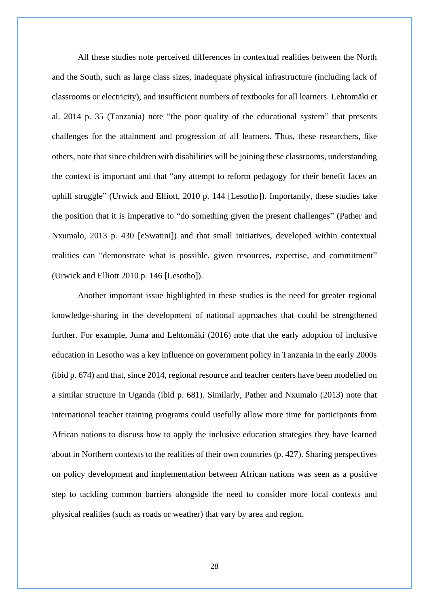All these studies note perceived differences in contextual realities between the North and the South, such as large class sizes, inadequate physical infrastructure (including lack of classrooms or electricity), and insufficient numbers of textbooks for all learners. Lehtomäki et al. 2014 p. 35 (Tanzania) note "the poor quality of the educational system" that presents challenges for the attainment and progression of all learners. Thus, these researchers, like others, note that since children with disabilities will be joining these classrooms, understanding the context is important and that "any attempt to reform pedagogy for their benefit faces an uphill struggle" (Urwick and Elliott, 2010 p. 144 [Lesotho]). Importantly, these studies take the position that it is imperative to "do something given the present challenges" (Pather and Nxumalo, 2013 p. 430 [eSwatini]) and that small initiatives, developed within contextual realities can "demonstrate what is possible, given resources, expertise, and commitment" (Urwick and Elliott 2010 p. 146 [Lesotho]).

Another important issue highlighted in these studies is the need for greater regional knowledge-sharing in the development of national approaches that could be strengthened further. For example, Juma and Lehtomäki (2016) note that the early adoption of inclusive education in Lesotho was a key influence on government policy in Tanzania in the early 2000s (ibid p. 674) and that, since 2014, regional resource and teacher centers have been modelled on a similar structure in Uganda (ibid p. 681). Similarly, Pather and Nxumalo (2013) note that international teacher training programs could usefully allow more time for participants from African nations to discuss how to apply the inclusive education strategies they have learned about in Northern contexts to the realities of their own countries (p. 427). Sharing perspectives on policy development and implementation between African nations was seen as a positive step to tackling common barriers alongside the need to consider more local contexts and physical realities (such as roads or weather) that vary by area and region.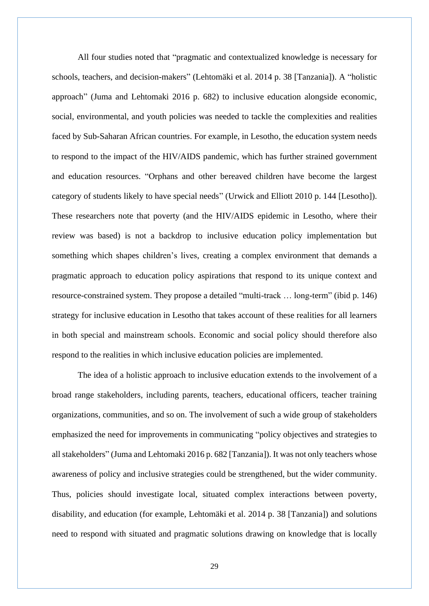All four studies noted that "pragmatic and contextualized knowledge is necessary for schools, teachers, and decision-makers" (Lehtomäki et al. 2014 p. 38 [Tanzania]). A "holistic approach" (Juma and Lehtomaki 2016 p. 682) to inclusive education alongside economic, social, environmental, and youth policies was needed to tackle the complexities and realities faced by Sub-Saharan African countries. For example, in Lesotho, the education system needs to respond to the impact of the HIV/AIDS pandemic, which has further strained government and education resources. "Orphans and other bereaved children have become the largest category of students likely to have special needs" (Urwick and Elliott 2010 p. 144 [Lesotho]). These researchers note that poverty (and the HIV/AIDS epidemic in Lesotho, where their review was based) is not a backdrop to inclusive education policy implementation but something which shapes children's lives, creating a complex environment that demands a pragmatic approach to education policy aspirations that respond to its unique context and resource-constrained system. They propose a detailed "multi-track … long-term" (ibid p. 146) strategy for inclusive education in Lesotho that takes account of these realities for all learners in both special and mainstream schools. Economic and social policy should therefore also respond to the realities in which inclusive education policies are implemented.

The idea of a holistic approach to inclusive education extends to the involvement of a broad range stakeholders, including parents, teachers, educational officers, teacher training organizations, communities, and so on. The involvement of such a wide group of stakeholders emphasized the need for improvements in communicating "policy objectives and strategies to all stakeholders" (Juma and Lehtomaki 2016 p. 682 [Tanzania]). It was not only teachers whose awareness of policy and inclusive strategies could be strengthened, but the wider community. Thus, policies should investigate local, situated complex interactions between poverty, disability, and education (for example, Lehtomäki et al. 2014 p. 38 [Tanzania]) and solutions need to respond with situated and pragmatic solutions drawing on knowledge that is locally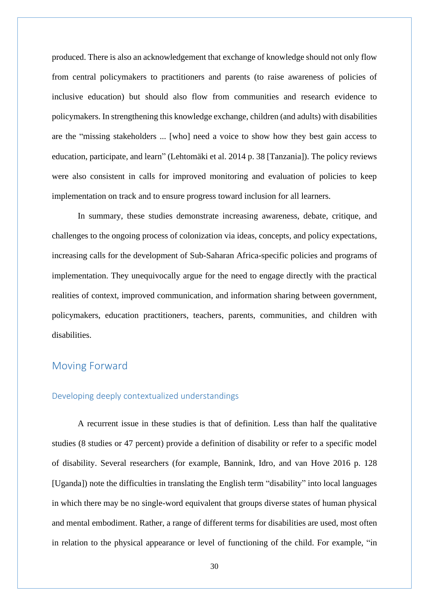produced. There is also an acknowledgement that exchange of knowledge should not only flow from central policymakers to practitioners and parents (to raise awareness of policies of inclusive education) but should also flow from communities and research evidence to policymakers. In strengthening this knowledge exchange, children (and adults) with disabilities are the "missing stakeholders ... [who] need a voice to show how they best gain access to education, participate, and learn" (Lehtomäki et al. 2014 p. 38 [Tanzania]). The policy reviews were also consistent in calls for improved monitoring and evaluation of policies to keep implementation on track and to ensure progress toward inclusion for all learners.

In summary, these studies demonstrate increasing awareness, debate, critique, and challenges to the ongoing process of colonization via ideas, concepts, and policy expectations, increasing calls for the development of Sub-Saharan Africa-specific policies and programs of implementation. They unequivocally argue for the need to engage directly with the practical realities of context, improved communication, and information sharing between government, policymakers, education practitioners, teachers, parents, communities, and children with disabilities.

## <span id="page-29-0"></span>Moving Forward

#### <span id="page-29-1"></span>Developing deeply contextualized understandings

A recurrent issue in these studies is that of definition. Less than half the qualitative studies (8 studies or 47 percent) provide a definition of disability or refer to a specific model of disability. Several researchers (for example, Bannink, Idro, and van Hove 2016 p. 128 [Uganda]) note the difficulties in translating the English term "disability" into local languages in which there may be no single-word equivalent that groups diverse states of human physical and mental embodiment. Rather, a range of different terms for disabilities are used, most often in relation to the physical appearance or level of functioning of the child. For example, "in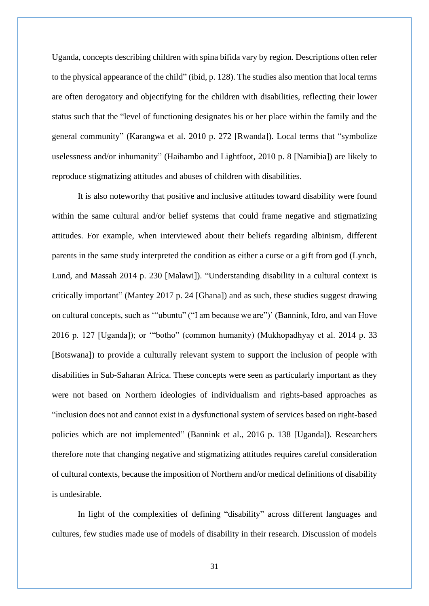Uganda, concepts describing children with spina bifida vary by region. Descriptions often refer to the physical appearance of the child" (ibid, p. 128). The studies also mention that local terms are often derogatory and objectifying for the children with disabilities, reflecting their lower status such that the "level of functioning designates his or her place within the family and the general community" (Karangwa et al. 2010 p. 272 [Rwanda]). Local terms that "symbolize uselessness and/or inhumanity" (Haihambo and Lightfoot, 2010 p. 8 [Namibia]) are likely to reproduce stigmatizing attitudes and abuses of children with disabilities.

It is also noteworthy that positive and inclusive attitudes toward disability were found within the same cultural and/or belief systems that could frame negative and stigmatizing attitudes. For example, when interviewed about their beliefs regarding albinism, different parents in the same study interpreted the condition as either a curse or a gift from god (Lynch, Lund, and Massah 2014 p. 230 [Malawi]). "Understanding disability in a cultural context is critically important" (Mantey 2017 p. 24 [Ghana]) and as such, these studies suggest drawing on cultural concepts, such as '"ubuntu" ("I am because we are")' (Bannink, Idro, and van Hove 2016 p. 127 [Uganda]); or '"botho" (common humanity) (Mukhopadhyay et al. 2014 p. 33 [Botswana]) to provide a culturally relevant system to support the inclusion of people with disabilities in Sub-Saharan Africa. These concepts were seen as particularly important as they were not based on Northern ideologies of individualism and rights-based approaches as "inclusion does not and cannot exist in a dysfunctional system of services based on right-based policies which are not implemented" (Bannink et al., 2016 p. 138 [Uganda]). Researchers therefore note that changing negative and stigmatizing attitudes requires careful consideration of cultural contexts, because the imposition of Northern and/or medical definitions of disability is undesirable.

In light of the complexities of defining "disability" across different languages and cultures, few studies made use of models of disability in their research. Discussion of models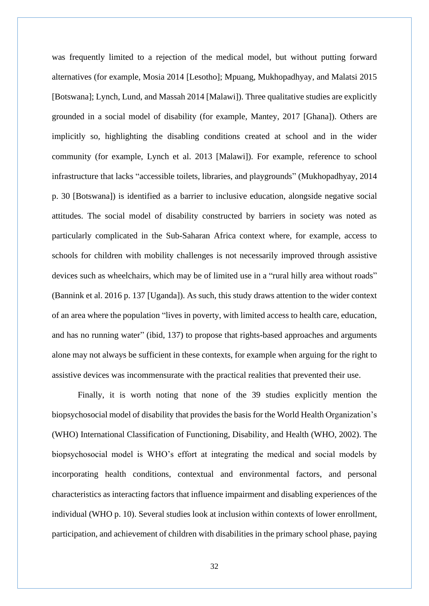was frequently limited to a rejection of the medical model, but without putting forward alternatives (for example, Mosia 2014 [Lesotho]; Mpuang, Mukhopadhyay, and Malatsi 2015 [Botswana]; Lynch, Lund, and Massah 2014 [Malawi]). Three qualitative studies are explicitly grounded in a social model of disability (for example, Mantey, 2017 [Ghana]). Others are implicitly so, highlighting the disabling conditions created at school and in the wider community (for example, Lynch et al. 2013 [Malawi]). For example, reference to school infrastructure that lacks "accessible toilets, libraries, and playgrounds" (Mukhopadhyay, 2014 p. 30 [Botswana]) is identified as a barrier to inclusive education, alongside negative social attitudes. The social model of disability constructed by barriers in society was noted as particularly complicated in the Sub-Saharan Africa context where, for example, access to schools for children with mobility challenges is not necessarily improved through assistive devices such as wheelchairs, which may be of limited use in a "rural hilly area without roads" (Bannink et al. 2016 p. 137 [Uganda]). As such, this study draws attention to the wider context of an area where the population "lives in poverty, with limited access to health care, education, and has no running water" (ibid, 137) to propose that rights-based approaches and arguments alone may not always be sufficient in these contexts, for example when arguing for the right to assistive devices was incommensurate with the practical realities that prevented their use.

Finally, it is worth noting that none of the 39 studies explicitly mention the biopsychosocial model of disability that provides the basis for the World Health Organization's (WHO) International Classification of Functioning, Disability, and Health (WHO, 2002). The biopsychosocial model is WHO's effort at integrating the medical and social models by incorporating health conditions, contextual and environmental factors, and personal characteristics as interacting factors that influence impairment and disabling experiences of the individual (WHO p. 10). Several studies look at inclusion within contexts of lower enrollment, participation, and achievement of children with disabilities in the primary school phase, paying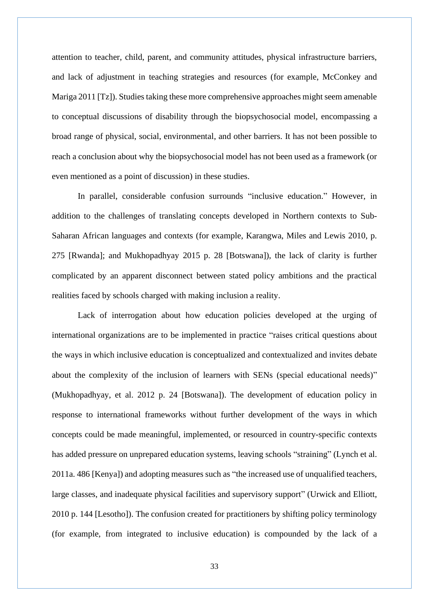attention to teacher, child, parent, and community attitudes, physical infrastructure barriers, and lack of adjustment in teaching strategies and resources (for example, McConkey and Mariga 2011 [Tz]). Studies taking these more comprehensive approaches might seem amenable to conceptual discussions of disability through the biopsychosocial model, encompassing a broad range of physical, social, environmental, and other barriers. It has not been possible to reach a conclusion about why the biopsychosocial model has not been used as a framework (or even mentioned as a point of discussion) in these studies.

In parallel, considerable confusion surrounds "inclusive education." However, in addition to the challenges of translating concepts developed in Northern contexts to Sub-Saharan African languages and contexts (for example, Karangwa, Miles and Lewis 2010, p. 275 [Rwanda]; and Mukhopadhyay 2015 p. 28 [Botswana]), the lack of clarity is further complicated by an apparent disconnect between stated policy ambitions and the practical realities faced by schools charged with making inclusion a reality.

Lack of interrogation about how education policies developed at the urging of international organizations are to be implemented in practice "raises critical questions about the ways in which inclusive education is conceptualized and contextualized and invites debate about the complexity of the inclusion of learners with SENs (special educational needs)" (Mukhopadhyay, et al. 2012 p. 24 [Botswana]). The development of education policy in response to international frameworks without further development of the ways in which concepts could be made meaningful, implemented, or resourced in country-specific contexts has added pressure on unprepared education systems, leaving schools "straining" (Lynch et al. 2011a. 486 [Kenya]) and adopting measures such as "the increased use of unqualified teachers, large classes, and inadequate physical facilities and supervisory support" (Urwick and Elliott, 2010 p. 144 [Lesotho]). The confusion created for practitioners by shifting policy terminology (for example, from integrated to inclusive education) is compounded by the lack of a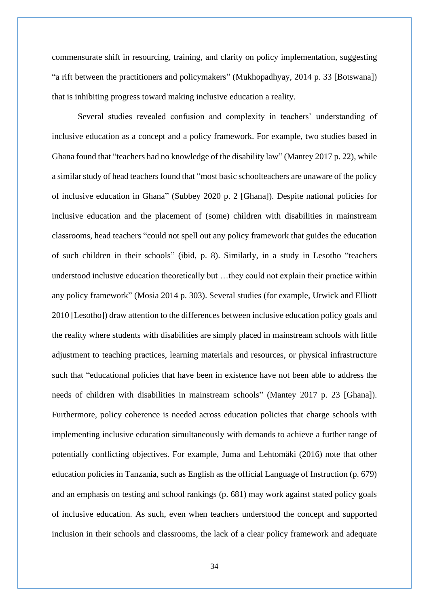commensurate shift in resourcing, training, and clarity on policy implementation, suggesting "a rift between the practitioners and policymakers" (Mukhopadhyay, 2014 p. 33 [Botswana]) that is inhibiting progress toward making inclusive education a reality.

Several studies revealed confusion and complexity in teachers' understanding of inclusive education as a concept and a policy framework. For example, two studies based in Ghana found that "teachers had no knowledge of the disability law" (Mantey 2017 p. 22), while a similar study of head teachers found that "most basic schoolteachers are unaware of the policy of inclusive education in Ghana" (Subbey 2020 p. 2 [Ghana]). Despite national policies for inclusive education and the placement of (some) children with disabilities in mainstream classrooms, head teachers "could not spell out any policy framework that guides the education of such children in their schools" (ibid, p. 8). Similarly, in a study in Lesotho "teachers understood inclusive education theoretically but …they could not explain their practice within any policy framework" (Mosia 2014 p. 303). Several studies (for example, Urwick and Elliott 2010 [Lesotho]) draw attention to the differences between inclusive education policy goals and the reality where students with disabilities are simply placed in mainstream schools with little adjustment to teaching practices, learning materials and resources, or physical infrastructure such that "educational policies that have been in existence have not been able to address the needs of children with disabilities in mainstream schools" (Mantey 2017 p. 23 [Ghana]). Furthermore, policy coherence is needed across education policies that charge schools with implementing inclusive education simultaneously with demands to achieve a further range of potentially conflicting objectives. For example, Juma and Lehtomäki (2016) note that other education policies in Tanzania, such as English as the official Language of Instruction (p. 679) and an emphasis on testing and school rankings (p. 681) may work against stated policy goals of inclusive education. As such, even when teachers understood the concept and supported inclusion in their schools and classrooms, the lack of a clear policy framework and adequate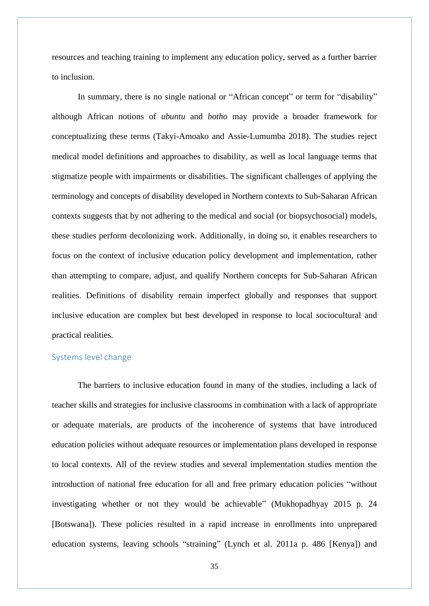resources and teaching training to implement any education policy, served as a further barrier to inclusion.

In summary, there is no single national or "African concept" or term for "disability" although African notions of *ubuntu* and *botho* may provide a broader framework for conceptualizing these terms (Takyi-Amoako and Assie-Lumumba 2018). The studies reject medical model definitions and approaches to disability, as well as local language terms that stigmatize people with impairments or disabilities. The significant challenges of applying the terminology and concepts of disability developed in Northern contexts to Sub-Saharan African contexts suggests that by not adhering to the medical and social (or biopsychosocial) models, these studies perform decolonizing work. Additionally, in doing so, it enables researchers to focus on the context of inclusive education policy development and implementation, rather than attempting to compare, adjust, and qualify Northern concepts for Sub-Saharan African realities. Definitions of disability remain imperfect globally and responses that support inclusive education are complex but best developed in response to local sociocultural and practical realities.

#### <span id="page-34-0"></span>Systems level change

The barriers to inclusive education found in many of the studies, including a lack of teacher skills and strategies for inclusive classrooms in combination with a lack of appropriate or adequate materials, are products of the incoherence of systems that have introduced education policies without adequate resources or implementation plans developed in response to local contexts. All of the review studies and several implementation studies mention the introduction of national free education for all and free primary education policies "without investigating whether or not they would be achievable" (Mukhopadhyay 2015 p. 24 [Botswana]). These policies resulted in a rapid increase in enrollments into unprepared education systems, leaving schools "straining" (Lynch et al. 2011a p. 486 [Kenya]) and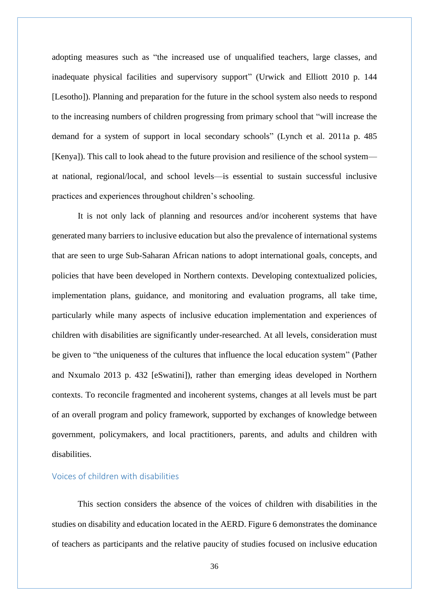adopting measures such as "the increased use of unqualified teachers, large classes, and inadequate physical facilities and supervisory support" (Urwick and Elliott 2010 p. 144 [Lesotho]). Planning and preparation for the future in the school system also needs to respond to the increasing numbers of children progressing from primary school that "will increase the demand for a system of support in local secondary schools" (Lynch et al. 2011a p. 485 [Kenya]). This call to look ahead to the future provision and resilience of the school system at national, regional/local, and school levels—is essential to sustain successful inclusive practices and experiences throughout children's schooling.

It is not only lack of planning and resources and/or incoherent systems that have generated many barriers to inclusive education but also the prevalence of international systems that are seen to urge Sub-Saharan African nations to adopt international goals, concepts, and policies that have been developed in Northern contexts. Developing contextualized policies, implementation plans, guidance, and monitoring and evaluation programs, all take time, particularly while many aspects of inclusive education implementation and experiences of children with disabilities are significantly under-researched. At all levels, consideration must be given to "the uniqueness of the cultures that influence the local education system" (Pather and Nxumalo 2013 p. 432 [eSwatini]), rather than emerging ideas developed in Northern contexts. To reconcile fragmented and incoherent systems, changes at all levels must be part of an overall program and policy framework, supported by exchanges of knowledge between government, policymakers, and local practitioners, parents, and adults and children with disabilities.

#### <span id="page-35-0"></span>Voices of children with disabilities

This section considers the absence of the voices of children with disabilities in the studies on disability and education located in the AERD. Figure 6 demonstrates the dominance of teachers as participants and the relative paucity of studies focused on inclusive education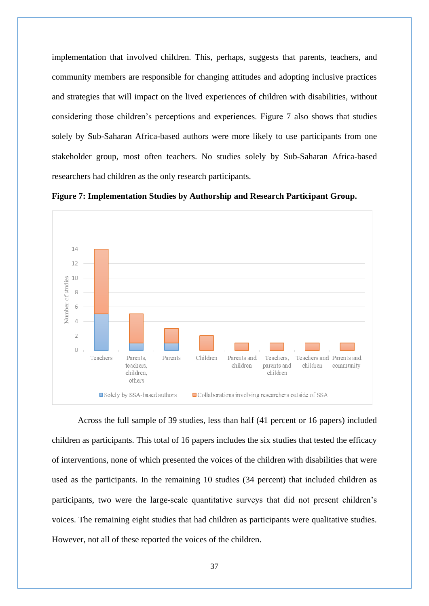implementation that involved children. This, perhaps, suggests that parents, teachers, and community members are responsible for changing attitudes and adopting inclusive practices and strategies that will impact on the lived experiences of children with disabilities, without considering those children's perceptions and experiences. Figure 7 also shows that studies solely by Sub-Saharan Africa-based authors were more likely to use participants from one stakeholder group, most often teachers. No studies solely by Sub-Saharan Africa-based researchers had children as the only research participants.





Across the full sample of 39 studies, less than half (41 percent or 16 papers) included children as participants. This total of 16 papers includes the six studies that tested the efficacy of interventions, none of which presented the voices of the children with disabilities that were used as the participants. In the remaining 10 studies (34 percent) that included children as participants, two were the large-scale quantitative surveys that did not present children's voices. The remaining eight studies that had children as participants were qualitative studies. However, not all of these reported the voices of the children.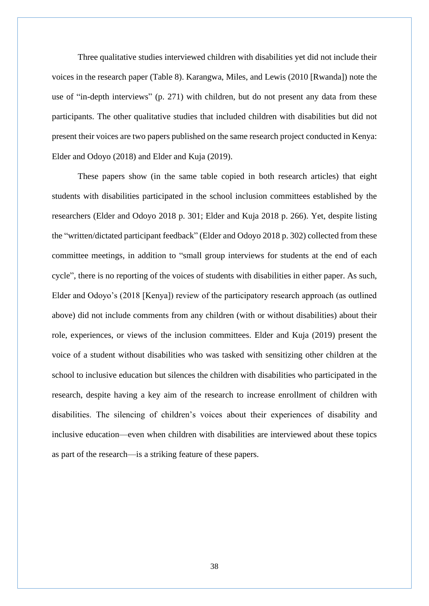Three qualitative studies interviewed children with disabilities yet did not include their voices in the research paper (Table 8). Karangwa, Miles, and Lewis (2010 [Rwanda]) note the use of "in-depth interviews" (p. 271) with children, but do not present any data from these participants. The other qualitative studies that included children with disabilities but did not present their voices are two papers published on the same research project conducted in Kenya: Elder and Odoyo (2018) and Elder and Kuja (2019).

These papers show (in the same table copied in both research articles) that eight students with disabilities participated in the school inclusion committees established by the researchers (Elder and Odoyo 2018 p. 301; Elder and Kuja 2018 p. 266). Yet, despite listing the "written/dictated participant feedback" (Elder and Odoyo 2018 p. 302) collected from these committee meetings, in addition to "small group interviews for students at the end of each cycle", there is no reporting of the voices of students with disabilities in either paper. As such, Elder and Odoyo's (2018 [Kenya]) review of the participatory research approach (as outlined above) did not include comments from any children (with or without disabilities) about their role, experiences, or views of the inclusion committees. Elder and Kuja (2019) present the voice of a student without disabilities who was tasked with sensitizing other children at the school to inclusive education but silences the children with disabilities who participated in the research, despite having a key aim of the research to increase enrollment of children with disabilities. The silencing of children's voices about their experiences of disability and inclusive education—even when children with disabilities are interviewed about these topics as part of the research—is a striking feature of these papers.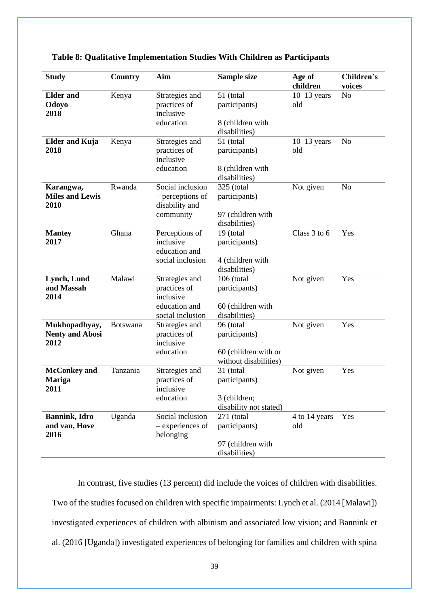| <b>Study</b>                                    | Country         | Aim                                                                              | Sample size                                                                 | Age of<br>children   | Children's<br>voices |
|-------------------------------------------------|-----------------|----------------------------------------------------------------------------------|-----------------------------------------------------------------------------|----------------------|----------------------|
| <b>Elder</b> and<br>Odoyo<br>2018               | Kenya           | Strategies and<br>practices of<br>inclusive<br>education                         | 51 (total<br>participants)<br>8 (children with<br>disabilities)             | $10-13$ years<br>old | N <sub>o</sub>       |
| <b>Elder and Kuja</b><br>2018                   | Kenya           | Strategies and<br>practices of<br>inclusive<br>education                         | 51 (total<br>participants)<br>8 (children with<br>disabilities)             | $10-13$ years<br>old | N <sub>o</sub>       |
| Karangwa,<br><b>Miles and Lewis</b><br>2010     | Rwanda          | Social inclusion<br>- perceptions of<br>disability and<br>community              | 325 (total<br>participants)<br>97 (children with<br>disabilities)           | Not given            | N <sub>o</sub>       |
| <b>Mantey</b><br>2017                           | Ghana           | Perceptions of<br>inclusive<br>education and<br>social inclusion                 | 19 (total<br>participants)<br>4 (children with<br>disabilities)             | Class 3 to 6         | Yes                  |
| Lynch, Lund<br>and Massah<br>2014               | Malawi          | Strategies and<br>practices of<br>inclusive<br>education and<br>social inclusion | 106 (total<br>participants)<br>60 (children with<br>disabilities)           | Not given            | Yes                  |
| Mukhopadhyay,<br><b>Nenty and Abosi</b><br>2012 | <b>Botswana</b> | Strategies and<br>practices of<br>inclusive<br>education                         | 96 (total<br>participants)<br>60 (children with or<br>without disabilities) | Not given            | Yes                  |
| <b>McConkey</b> and<br><b>Mariga</b><br>2011    | Tanzania        | Strategies and<br>practices of<br>inclusive<br>education                         | 31 (total<br>participants)<br>3 (children;<br>disability not stated)        | Not given            | Yes                  |
| <b>Bannink</b> , Idro<br>and van, Hove<br>2016  | Uganda          | Social inclusion<br>- experiences of<br>belonging                                | 271 (total<br>participants)<br>97 (children with<br>disabilities)           | 4 to 14 years<br>old | Yes                  |

#### **Table 8: Qualitative Implementation Studies With Children as Participants**

In contrast, five studies (13 percent) did include the voices of children with disabilities. Two of the studies focused on children with specific impairments: Lynch et al. (2014 [Malawi]) investigated experiences of children with albinism and associated low vision; and Bannink et al. (2016 [Uganda]) investigated experiences of belonging for families and children with spina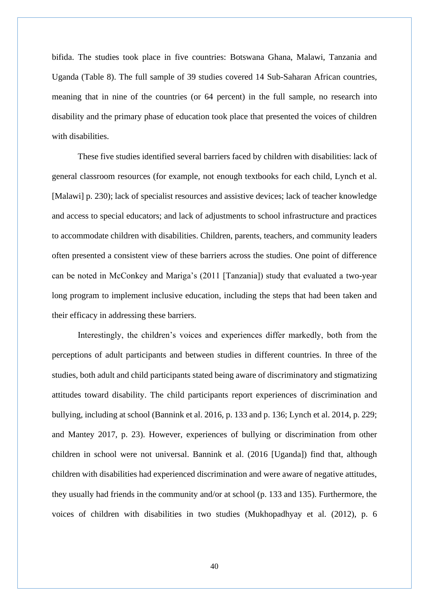bifida. The studies took place in five countries: Botswana Ghana, Malawi, Tanzania and Uganda (Table 8). The full sample of 39 studies covered 14 Sub-Saharan African countries, meaning that in nine of the countries (or 64 percent) in the full sample, no research into disability and the primary phase of education took place that presented the voices of children with disabilities.

These five studies identified several barriers faced by children with disabilities: lack of general classroom resources (for example, not enough textbooks for each child, Lynch et al. [Malawi] p. 230); lack of specialist resources and assistive devices; lack of teacher knowledge and access to special educators; and lack of adjustments to school infrastructure and practices to accommodate children with disabilities. Children, parents, teachers, and community leaders often presented a consistent view of these barriers across the studies. One point of difference can be noted in McConkey and Mariga's (2011 [Tanzania]) study that evaluated a two-year long program to implement inclusive education, including the steps that had been taken and their efficacy in addressing these barriers.

Interestingly, the children's voices and experiences differ markedly, both from the perceptions of adult participants and between studies in different countries. In three of the studies, both adult and child participants stated being aware of discriminatory and stigmatizing attitudes toward disability. The child participants report experiences of discrimination and bullying, including at school (Bannink et al. 2016, p. 133 and p. 136; Lynch et al. 2014, p. 229; and Mantey 2017, p. 23). However, experiences of bullying or discrimination from other children in school were not universal. Bannink et al. (2016 [Uganda]) find that, although children with disabilities had experienced discrimination and were aware of negative attitudes, they usually had friends in the community and/or at school (p. 133 and 135). Furthermore, the voices of children with disabilities in two studies (Mukhopadhyay et al. (2012), p. 6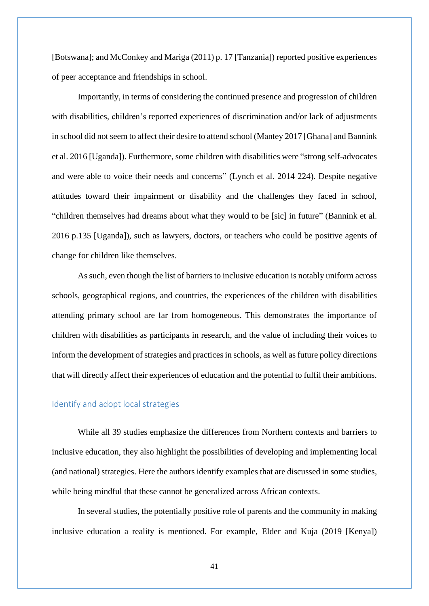[Botswana]; and McConkey and Mariga (2011) p. 17 [Tanzania]) reported positive experiences of peer acceptance and friendships in school.

Importantly, in terms of considering the continued presence and progression of children with disabilities, children's reported experiences of discrimination and/or lack of adjustments in school did not seem to affect their desire to attend school (Mantey 2017 [Ghana] and Bannink et al. 2016 [Uganda]). Furthermore, some children with disabilities were "strong self-advocates and were able to voice their needs and concerns" (Lynch et al. 2014 224). Despite negative attitudes toward their impairment or disability and the challenges they faced in school, "children themselves had dreams about what they would to be [sic] in future" (Bannink et al. 2016 p.135 [Uganda]), such as lawyers, doctors, or teachers who could be positive agents of change for children like themselves.

As such, even though the list of barriers to inclusive education is notably uniform across schools, geographical regions, and countries, the experiences of the children with disabilities attending primary school are far from homogeneous. This demonstrates the importance of children with disabilities as participants in research, and the value of including their voices to inform the development of strategies and practices in schools, as well as future policy directions that will directly affect their experiences of education and the potential to fulfil their ambitions.

#### <span id="page-40-0"></span>Identify and adopt local strategies

While all 39 studies emphasize the differences from Northern contexts and barriers to inclusive education, they also highlight the possibilities of developing and implementing local (and national) strategies. Here the authors identify examples that are discussed in some studies, while being mindful that these cannot be generalized across African contexts.

In several studies, the potentially positive role of parents and the community in making inclusive education a reality is mentioned. For example, Elder and Kuja (2019 [Kenya])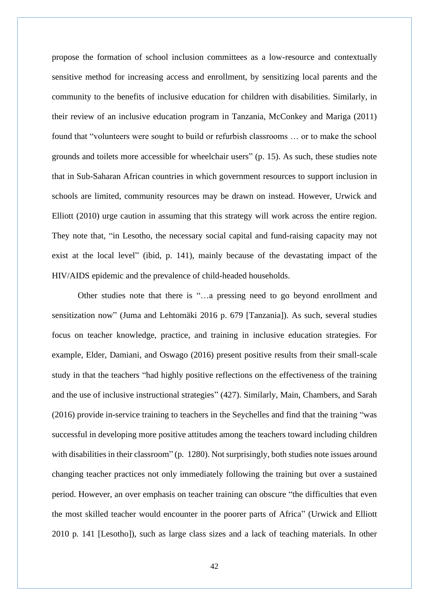propose the formation of school inclusion committees as a low-resource and contextually sensitive method for increasing access and enrollment, by sensitizing local parents and the community to the benefits of inclusive education for children with disabilities. Similarly, in their review of an inclusive education program in Tanzania, McConkey and Mariga (2011) found that "volunteers were sought to build or refurbish classrooms … or to make the school grounds and toilets more accessible for wheelchair users" (p. 15). As such, these studies note that in Sub-Saharan African countries in which government resources to support inclusion in schools are limited, community resources may be drawn on instead. However, Urwick and Elliott (2010) urge caution in assuming that this strategy will work across the entire region. They note that, "in Lesotho, the necessary social capital and fund-raising capacity may not exist at the local level" (ibid, p. 141), mainly because of the devastating impact of the HIV/AIDS epidemic and the prevalence of child-headed households.

Other studies note that there is "…a pressing need to go beyond enrollment and sensitization now" (Juma and Lehtomäki 2016 p. 679 [Tanzania]). As such, several studies focus on teacher knowledge, practice, and training in inclusive education strategies. For example, Elder, Damiani, and Oswago (2016) present positive results from their small-scale study in that the teachers "had highly positive reflections on the effectiveness of the training and the use of inclusive instructional strategies" (427). Similarly, Main, Chambers, and Sarah (2016) provide in-service training to teachers in the Seychelles and find that the training "was successful in developing more positive attitudes among the teachers toward including children with disabilities in their classroom" (p. 1280). Not surprisingly, both studies note issues around changing teacher practices not only immediately following the training but over a sustained period. However, an over emphasis on teacher training can obscure "the difficulties that even the most skilled teacher would encounter in the poorer parts of Africa" (Urwick and Elliott 2010 p. 141 [Lesotho]), such as large class sizes and a lack of teaching materials. In other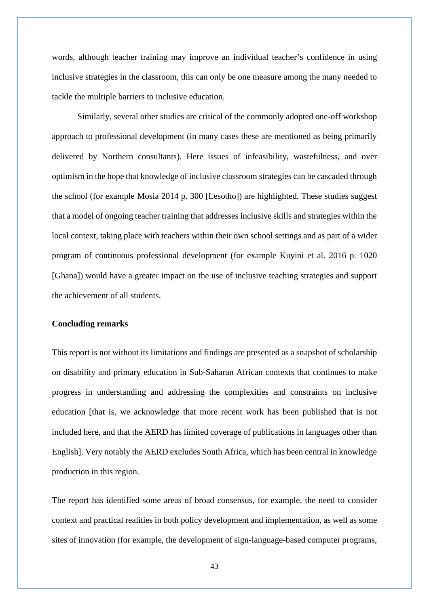words, although teacher training may improve an individual teacher's confidence in using inclusive strategies in the classroom, this can only be one measure among the many needed to tackle the multiple barriers to inclusive education.

Similarly, several other studies are critical of the commonly adopted one-off workshop approach to professional development (in many cases these are mentioned as being primarily delivered by Northern consultants). Here issues of infeasibility, wastefulness, and over optimism in the hope that knowledge of inclusive classroom strategies can be cascaded through the school (for example Mosia 2014 p. 300 [Lesotho]) are highlighted. These studies suggest that a model of ongoing teacher training that addresses inclusive skills and strategies within the local context, taking place with teachers within their own school settings and as part of a wider program of continuous professional development (for example Kuyini et al. 2016 p. 1020 [Ghana]) would have a greater impact on the use of inclusive teaching strategies and support the achievement of all students.

#### **Concluding remarks**

This report is not without its limitations and findings are presented as a snapshot of scholarship on disability and primary education in Sub-Saharan African contexts that continues to make progress in understanding and addressing the complexities and constraints on inclusive education [that is, we acknowledge that more recent work has been published that is not included here, and that the AERD has limited coverage of publications in languages other than English]. Very notably the AERD excludes South Africa, which has been central in knowledge production in this region.

The report has identified some areas of broad consensus, for example, the need to consider context and practical realities in both policy development and implementation, as well as some sites of innovation (for example, the development of sign-language-based computer programs,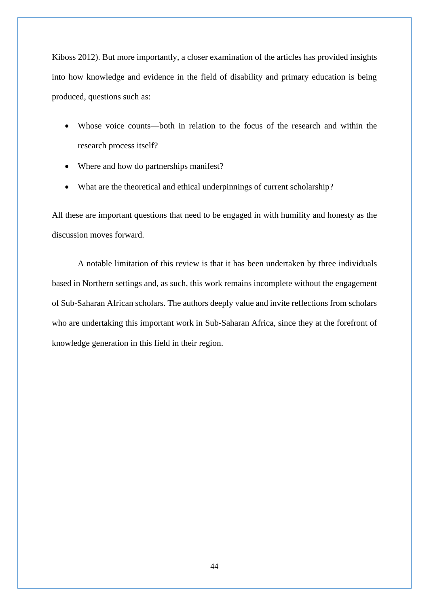Kiboss 2012). But more importantly, a closer examination of the articles has provided insights into how knowledge and evidence in the field of disability and primary education is being produced, questions such as:

- Whose voice counts—both in relation to the focus of the research and within the research process itself?
- Where and how do partnerships manifest?
- What are the theoretical and ethical underpinnings of current scholarship?

All these are important questions that need to be engaged in with humility and honesty as the discussion moves forward.

A notable limitation of this review is that it has been undertaken by three individuals based in Northern settings and, as such, this work remains incomplete without the engagement of Sub-Saharan African scholars. The authors deeply value and invite reflections from scholars who are undertaking this important work in Sub-Saharan Africa, since they at the forefront of knowledge generation in this field in their region.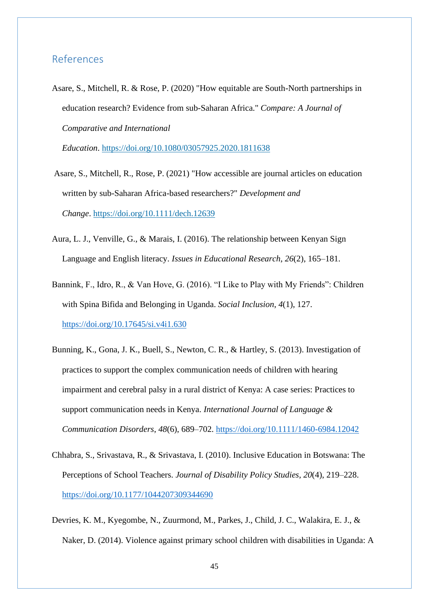## <span id="page-44-0"></span>References

Asare, S., Mitchell, R. & Rose, P. (2020) "How equitable are South-North partnerships in education research? Evidence from sub-Saharan Africa." *Compare: A Journal of Comparative and International* 

*Education*. <https://doi.org/10.1080/03057925.2020.1811638>

- Asare, S., Mitchell, R., Rose, P. (2021) "How accessible are journal articles on education written by sub-Saharan Africa-based researchers?" *Development and Change*. <https://doi.org/10.1111/dech.12639>
- Aura, L. J., Venville, G., & Marais, I. (2016). The relationship between Kenyan Sign Language and English literacy. *Issues in Educational Research*, *26*(2), 165–181.
- Bannink, F., Idro, R., & Van Hove, G. (2016). "I Like to Play with My Friends": Children with Spina Bifida and Belonging in Uganda. *Social Inclusion*, *4*(1), 127. <https://doi.org/10.17645/si.v4i1.630>
- Bunning, K., Gona, J. K., Buell, S., Newton, C. R., & Hartley, S. (2013). Investigation of practices to support the complex communication needs of children with hearing impairment and cerebral palsy in a rural district of Kenya: A case series: Practices to support communication needs in Kenya. *International Journal of Language & Communication Disorders*, *48*(6), 689–702.<https://doi.org/10.1111/1460-6984.12042>
- Chhabra, S., Srivastava, R., & Srivastava, I. (2010). Inclusive Education in Botswana: The Perceptions of School Teachers. *Journal of Disability Policy Studies*, *20*(4), 219–228. <https://doi.org/10.1177/1044207309344690>
- Devries, K. M., Kyegombe, N., Zuurmond, M., Parkes, J., Child, J. C., Walakira, E. J., & Naker, D. (2014). Violence against primary school children with disabilities in Uganda: A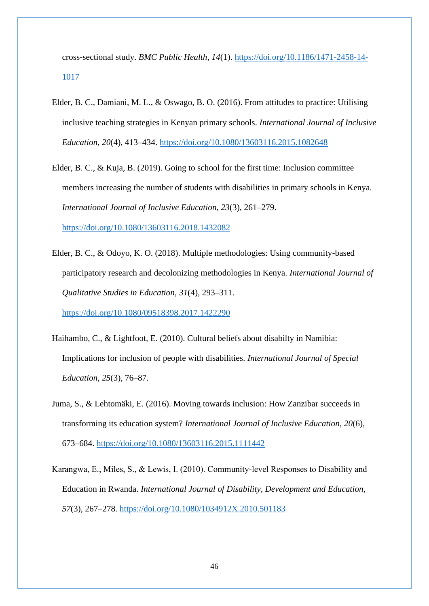cross-sectional study. *BMC Public Health*, *14*(1). [https://doi.org/10.1186/1471-2458-14-](https://doi.org/10.1186/1471-2458-14-1017) [1017](https://doi.org/10.1186/1471-2458-14-1017)

- Elder, B. C., Damiani, M. L., & Oswago, B. O. (2016). From attitudes to practice: Utilising inclusive teaching strategies in Kenyan primary schools. *International Journal of Inclusive Education*, *20*(4), 413–434.<https://doi.org/10.1080/13603116.2015.1082648>
- Elder, B. C., & Kuja, B. (2019). Going to school for the first time: Inclusion committee members increasing the number of students with disabilities in primary schools in Kenya. *International Journal of Inclusive Education*, *23*(3), 261–279. <https://doi.org/10.1080/13603116.2018.1432082>
- Elder, B. C., & Odoyo, K. O. (2018). Multiple methodologies: Using community-based participatory research and decolonizing methodologies in Kenya. *International Journal of Qualitative Studies in Education*, *31*(4), 293–311. <https://doi.org/10.1080/09518398.2017.1422290>
- Haihambo, C., & Lightfoot, E. (2010). Cultural beliefs about disabilty in Namibia: Implications for inclusion of people with disabilities. *International Journal of Special Education*, *25*(3), 76–87.
- Juma, S., & Lehtomäki, E. (2016). Moving towards inclusion: How Zanzibar succeeds in transforming its education system? *International Journal of Inclusive Education*, *20*(6), 673–684.<https://doi.org/10.1080/13603116.2015.1111442>
- Karangwa, E., Miles, S., & Lewis, I. (2010). Community‐level Responses to Disability and Education in Rwanda. *International Journal of Disability, Development and Education*, *57*(3), 267–278.<https://doi.org/10.1080/1034912X.2010.501183>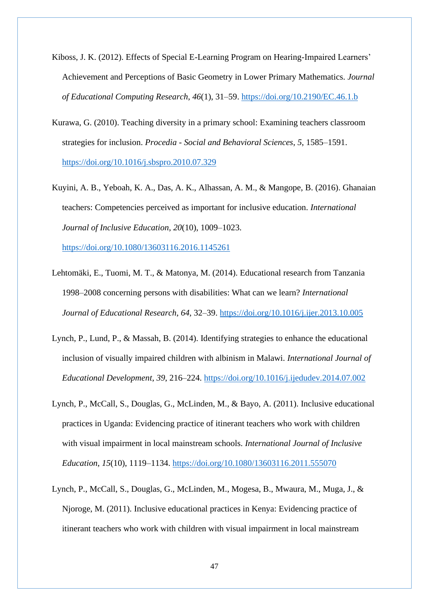- Kiboss, J. K. (2012). Effects of Special E-Learning Program on Hearing-Impaired Learners' Achievement and Perceptions of Basic Geometry in Lower Primary Mathematics. *Journal of Educational Computing Research*, *46*(1), 31–59.<https://doi.org/10.2190/EC.46.1.b>
- Kurawa, G. (2010). Teaching diversity in a primary school: Examining teachers classroom strategies for inclusion. *Procedia - Social and Behavioral Sciences*, *5*, 1585–1591. <https://doi.org/10.1016/j.sbspro.2010.07.329>
- Kuyini, A. B., Yeboah, K. A., Das, A. K., Alhassan, A. M., & Mangope, B. (2016). Ghanaian teachers: Competencies perceived as important for inclusive education. *International Journal of Inclusive Education*, *20*(10), 1009–1023.

<https://doi.org/10.1080/13603116.2016.1145261>

- Lehtomäki, E., Tuomi, M. T., & Matonya, M. (2014). Educational research from Tanzania 1998–2008 concerning persons with disabilities: What can we learn? *International Journal of Educational Research*, *64*, 32–39.<https://doi.org/10.1016/j.ijer.2013.10.005>
- Lynch, P., Lund, P., & Massah, B. (2014). Identifying strategies to enhance the educational inclusion of visually impaired children with albinism in Malawi. *International Journal of Educational Development*, *39*, 216–224.<https://doi.org/10.1016/j.ijedudev.2014.07.002>
- Lynch, P., McCall, S., Douglas, G., McLinden, M., & Bayo, A. (2011). Inclusive educational practices in Uganda: Evidencing practice of itinerant teachers who work with children with visual impairment in local mainstream schools. *International Journal of Inclusive Education*, *15*(10), 1119–1134.<https://doi.org/10.1080/13603116.2011.555070>
- Lynch, P., McCall, S., Douglas, G., McLinden, M., Mogesa, B., Mwaura, M., Muga, J., & Njoroge, M. (2011). Inclusive educational practices in Kenya: Evidencing practice of itinerant teachers who work with children with visual impairment in local mainstream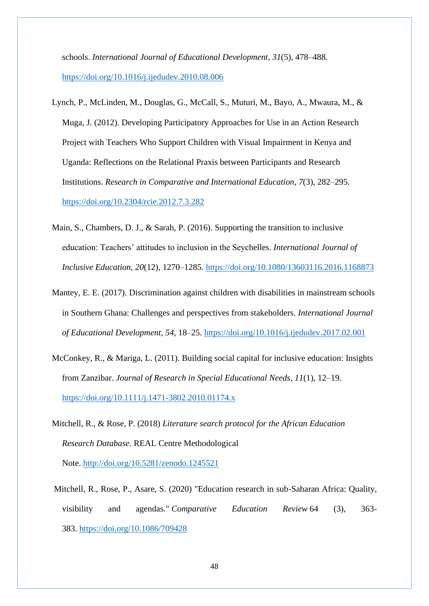schools. *International Journal of Educational Development*, *31*(5), 478–488. <https://doi.org/10.1016/j.ijedudev.2010.08.006>

- Lynch, P., McLinden, M., Douglas, G., McCall, S., Muturi, M., Bayo, A., Mwaura, M., & Muga, J. (2012). Developing Participatory Approaches for Use in an Action Research Project with Teachers Who Support Children with Visual Impairment in Kenya and Uganda: Reflections on the Relational Praxis between Participants and Research Institutions. *Research in Comparative and International Education*, *7*(3), 282–295. <https://doi.org/10.2304/rcie.2012.7.3.282>
- Main, S., Chambers, D. J., & Sarah, P. (2016). Supporting the transition to inclusive education: Teachers' attitudes to inclusion in the Seychelles. *International Journal of Inclusive Education*, *20*(12), 1270–1285.<https://doi.org/10.1080/13603116.2016.1168873>
- Mantey, E. E. (2017). Discrimination against children with disabilities in mainstream schools in Southern Ghana: Challenges and perspectives from stakeholders. *International Journal of Educational Development*, *54*, 18–25.<https://doi.org/10.1016/j.ijedudev.2017.02.001>
- McConkey, R., & Mariga, L. (2011). Building social capital for inclusive education: Insights from Zanzibar. *Journal of Research in Special Educational Needs*, *11*(1), 12–19. <https://doi.org/10.1111/j.1471-3802.2010.01174.x>
- Mitchell, R., & Rose, P. (2018) *Literature search protocol for the African Education Research Database*. REAL Centre Methodological Note. <http://doi.org/10.5281/zenodo.1245521>
- Mitchell, R., Rose, P., Asare, S. (2020) "Education research in sub-Saharan Africa: Quality, visibility and agendas." *Comparative Education Review* 64 (3), 363- 383. <https://doi.org/10.1086/709428>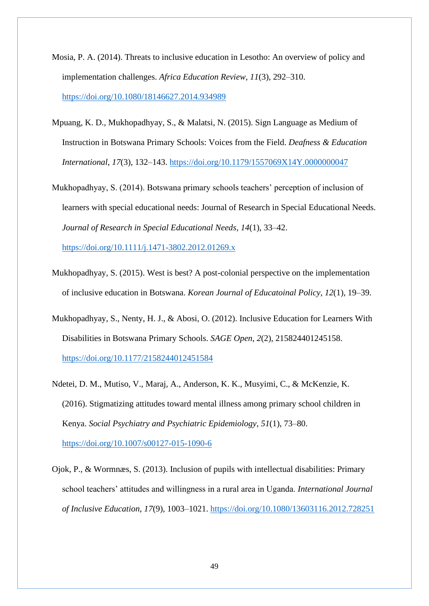- Mosia, P. A. (2014). Threats to inclusive education in Lesotho: An overview of policy and implementation challenges. *Africa Education Review*, *11*(3), 292–310. <https://doi.org/10.1080/18146627.2014.934989>
- Mpuang, K. D., Mukhopadhyay, S., & Malatsi, N. (2015). Sign Language as Medium of Instruction in Botswana Primary Schools: Voices from the Field. *Deafness & Education International*, *17*(3), 132–143.<https://doi.org/10.1179/1557069X14Y.0000000047>
- Mukhopadhyay, S. (2014). Botswana primary schools teachers' perception of inclusion of learners with special educational needs: Journal of Research in Special Educational Needs. *Journal of Research in Special Educational Needs*, *14*(1), 33–42. <https://doi.org/10.1111/j.1471-3802.2012.01269.x>
- Mukhopadhyay, S. (2015). West is best? A post-colonial perspective on the implementation of inclusive education in Botswana. *Korean Journal of Educatoinal Policy*, *12*(1), 19–39.
- Mukhopadhyay, S., Nenty, H. J., & Abosi, O. (2012). Inclusive Education for Learners With Disabilities in Botswana Primary Schools. *SAGE Open*, *2*(2), 215824401245158. <https://doi.org/10.1177/2158244012451584>
- Ndetei, D. M., Mutiso, V., Maraj, A., Anderson, K. K., Musyimi, C., & McKenzie, K. (2016). Stigmatizing attitudes toward mental illness among primary school children in Kenya. *Social Psychiatry and Psychiatric Epidemiology*, *51*(1), 73–80. <https://doi.org/10.1007/s00127-015-1090-6>
- Ojok, P., & Wormnæs, S. (2013). Inclusion of pupils with intellectual disabilities: Primary school teachers' attitudes and willingness in a rural area in Uganda. *International Journal of Inclusive Education*, *17*(9), 1003–1021.<https://doi.org/10.1080/13603116.2012.728251>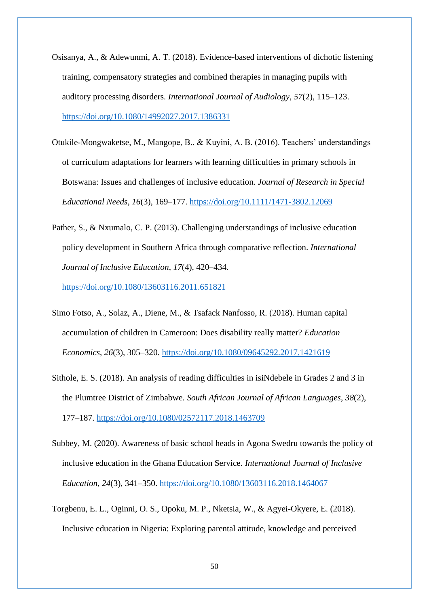- Osisanya, A., & Adewunmi, A. T. (2018). Evidence-based interventions of dichotic listening training, compensatory strategies and combined therapies in managing pupils with auditory processing disorders. *International Journal of Audiology*, *57*(2), 115–123. <https://doi.org/10.1080/14992027.2017.1386331>
- Otukile-Mongwaketse, M., Mangope, B., & Kuyini, A. B. (2016). Teachers' understandings of curriculum adaptations for learners with learning difficulties in primary schools in Botswana: Issues and challenges of inclusive education. *Journal of Research in Special Educational Needs*, *16*(3), 169–177.<https://doi.org/10.1111/1471-3802.12069>
- Pather, S., & Nxumalo, C. P. (2013). Challenging understandings of inclusive education policy development in Southern Africa through comparative reflection. *International Journal of Inclusive Education*, *17*(4), 420–434.

<https://doi.org/10.1080/13603116.2011.651821>

- Simo Fotso, A., Solaz, A., Diene, M., & Tsafack Nanfosso, R. (2018). Human capital accumulation of children in Cameroon: Does disability really matter? *Education Economics*, *26*(3), 305–320.<https://doi.org/10.1080/09645292.2017.1421619>
- Sithole, E. S. (2018). An analysis of reading difficulties in isiNdebele in Grades 2 and 3 in the Plumtree District of Zimbabwe. *South African Journal of African Languages*, *38*(2), 177–187.<https://doi.org/10.1080/02572117.2018.1463709>
- Subbey, M. (2020). Awareness of basic school heads in Agona Swedru towards the policy of inclusive education in the Ghana Education Service. *International Journal of Inclusive Education*, *24*(3), 341–350.<https://doi.org/10.1080/13603116.2018.1464067>
- Torgbenu, E. L., Oginni, O. S., Opoku, M. P., Nketsia, W., & Agyei-Okyere, E. (2018). Inclusive education in Nigeria: Exploring parental attitude, knowledge and perceived